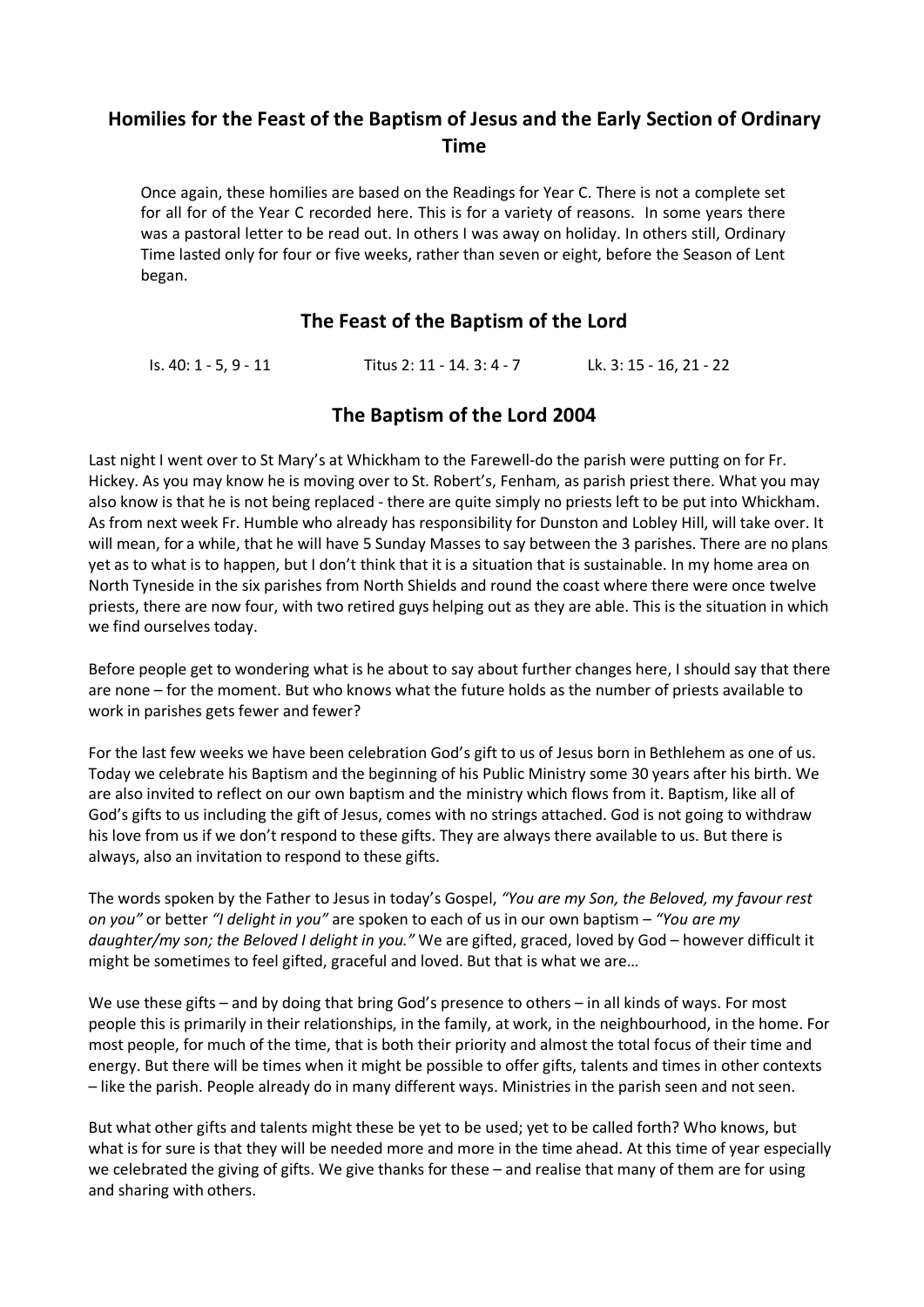# **Homilies for the Feast of the Baptism of Jesus and the Early Section of Ordinary Time**

Once again, these homilies are based on the Readings for Year C. There is not a complete set for all for of the Year C recorded here. This is for a variety of reasons. In some years there was a pastoral letter to be read out. In others I was away on holiday. In others still, Ordinary Time lasted only for four or five weeks, rather than seven or eight, before the Season of Lent began.

# **The Feast of the Baptism of the Lord**

Is. 40: 1 - 5, 9 - 11 Titus 2: 11 - 14. 3: 4 - 7 Lk. 3: 15 - 16, 21 - 22

# **The Baptism of the Lord 2004**

Last night I went over to St Mary's at Whickham to the Farewell-do the parish were putting on for Fr. Hickey. As you may know he is moving over to St. Robert's, Fenham, as parish priest there. What you may also know is that he is not being replaced - there are quite simply no priests left to be put into Whickham. As from next week Fr. Humble who already has responsibility for Dunston and Lobley Hill, will take over. It will mean, for a while, that he will have 5 Sunday Masses to say between the 3 parishes. There are no plans yet as to what is to happen, but I don't think that it is a situation that is sustainable. In my home area on North Tyneside in the six parishes from North Shields and round the coast where there were once twelve priests, there are now four, with two retired guys helping out as they are able. This is the situation in which we find ourselves today.

Before people get to wondering what is he about to say about further changes here, I should say that there are none – for the moment. But who knows what the future holds as the number of priests available to work in parishes gets fewer and fewer?

For the last few weeks we have been celebration God's gift to us of Jesus born in Bethlehem as one of us. Today we celebrate his Baptism and the beginning of his Public Ministry some 30 years after his birth. We are also invited to reflect on our own baptism and the ministry which flows from it. Baptism, like all of God's gifts to us including the gift of Jesus, comes with no strings attached. God is not going to withdraw his love from us if we don't respond to these gifts. They are always there available to us. But there is always, also an invitation to respond to these gifts.

The words spoken by the Father to Jesus in today's Gospel, *"You are my Son, the Beloved, my favour rest on you"* or better *"I delight in you"* are spoken to each of us in our own baptism – *"You are my daughter/my son; the Beloved I delight in you."* We are gifted, graced, loved by God – however difficult it might be sometimes to feel gifted, graceful and loved. But that is what we are…

We use these gifts – and by doing that bring God's presence to others – in all kinds of ways. For most people this is primarily in their relationships, in the family, at work, in the neighbourhood, in the home. For most people, for much of the time, that is both their priority and almost the total focus of their time and energy. But there will be times when it might be possible to offer gifts, talents and times in other contexts – like the parish. People already do in many different ways. Ministries in the parish seen and not seen.

But what other gifts and talents might these be yet to be used; yet to be called forth? Who knows, but what is for sure is that they will be needed more and more in the time ahead. At this time of year especially we celebrated the giving of gifts. We give thanks for these – and realise that many of them are for using and sharing with others.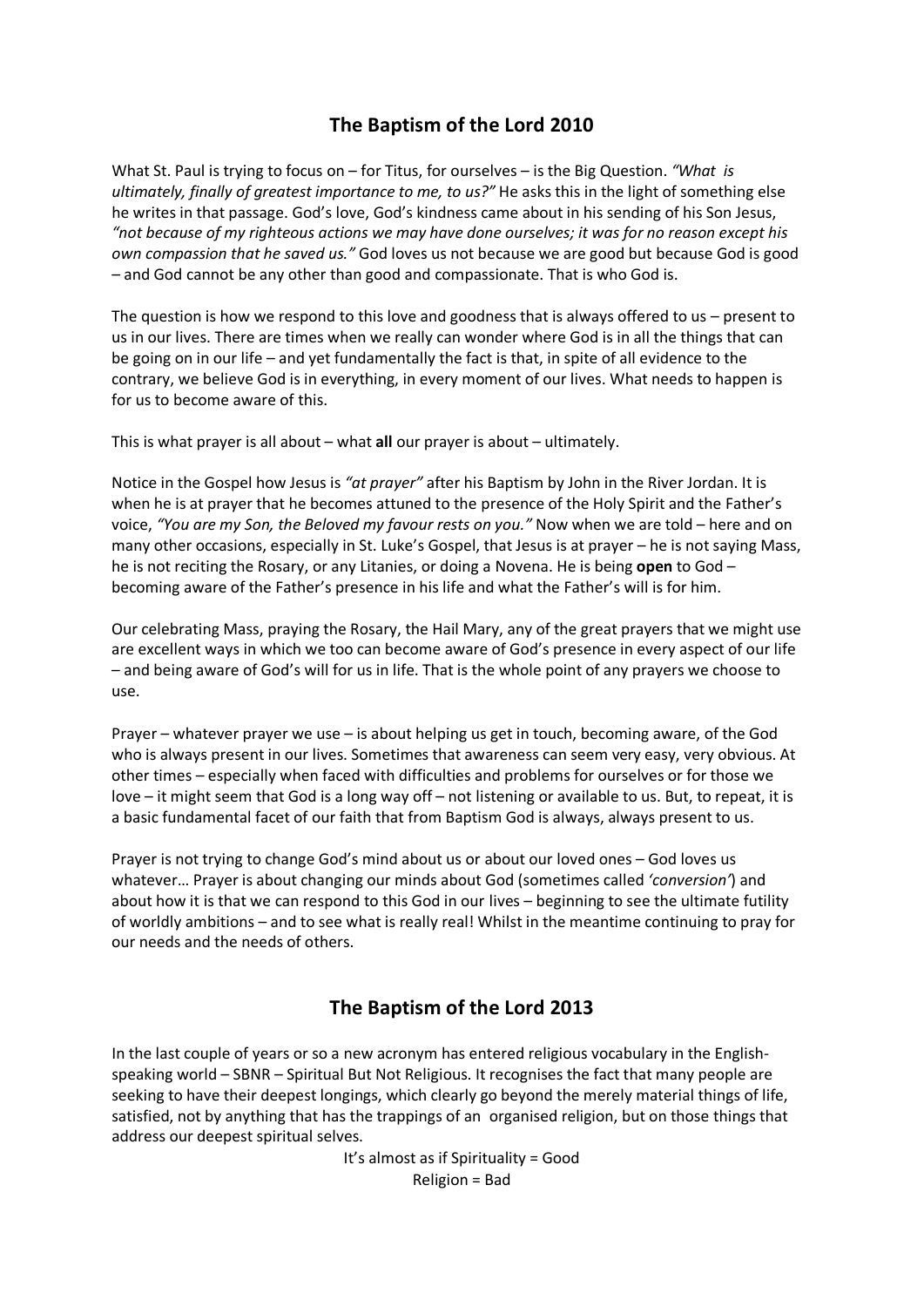# **The Baptism of the Lord 2010**

What St. Paul is trying to focus on – for Titus, for ourselves – is the Big Question. *"What is ultimately, finally of greatest importance to me, to us?"* He asks this in the light of something else he writes in that passage. God's love, God's kindness came about in his sending of his Son Jesus, *"not because of my righteous actions we may have done ourselves; it was for no reason except his own compassion that he saved us."* God loves us not because we are good but because God is good – and God cannot be any other than good and compassionate. That is who God is.

The question is how we respond to this love and goodness that is always offered to us – present to us in our lives. There are times when we really can wonder where God is in all the things that can be going on in our life – and yet fundamentally the fact is that, in spite of all evidence to the contrary, we believe God is in everything, in every moment of our lives. What needs to happen is for us to become aware of this.

This is what prayer is all about – what **all** our prayer is about – ultimately.

Notice in the Gospel how Jesus is *"at prayer"* after his Baptism by John in the River Jordan. It is when he is at prayer that he becomes attuned to the presence of the Holy Spirit and the Father's voice, *"You are my Son, the Beloved my favour rests on you."* Now when we are told – here and on many other occasions, especially in St. Luke's Gospel, that Jesus is at prayer – he is not saying Mass, he is not reciting the Rosary, or any Litanies, or doing a Novena. He is being **open** to God – becoming aware of the Father's presence in his life and what the Father's will is for him.

Our celebrating Mass, praying the Rosary, the Hail Mary, any of the great prayers that we might use are excellent ways in which we too can become aware of God's presence in every aspect of our life – and being aware of God's will for us in life. That is the whole point of any prayers we choose to use.

Prayer – whatever prayer we use – is about helping us get in touch, becoming aware, of the God who is always present in our lives. Sometimes that awareness can seem very easy, very obvious. At other times – especially when faced with difficulties and problems for ourselves or for those we love – it might seem that God is a long way off – not listening or available to us. But, to repeat, it is a basic fundamental facet of our faith that from Baptism God is always, always present to us.

Prayer is not trying to change God's mind about us or about our loved ones – God loves us whatever… Prayer is about changing our minds about God (sometimes called *'conversion'*) and about how it is that we can respond to this God in our lives – beginning to see the ultimate futility of worldly ambitions – and to see what is really real! Whilst in the meantime continuing to pray for our needs and the needs of others.

# **The Baptism of the Lord 2013**

In the last couple of years or so a new acronym has entered religious vocabulary in the Englishspeaking world – SBNR – Spiritual But Not Religious. It recognises the fact that many people are seeking to have their deepest longings, which clearly go beyond the merely material things of life, satisfied, not by anything that has the trappings of an organised religion, but on those things that address our deepest spiritual selves.

> It's almost as if Spirituality = Good Religion = Bad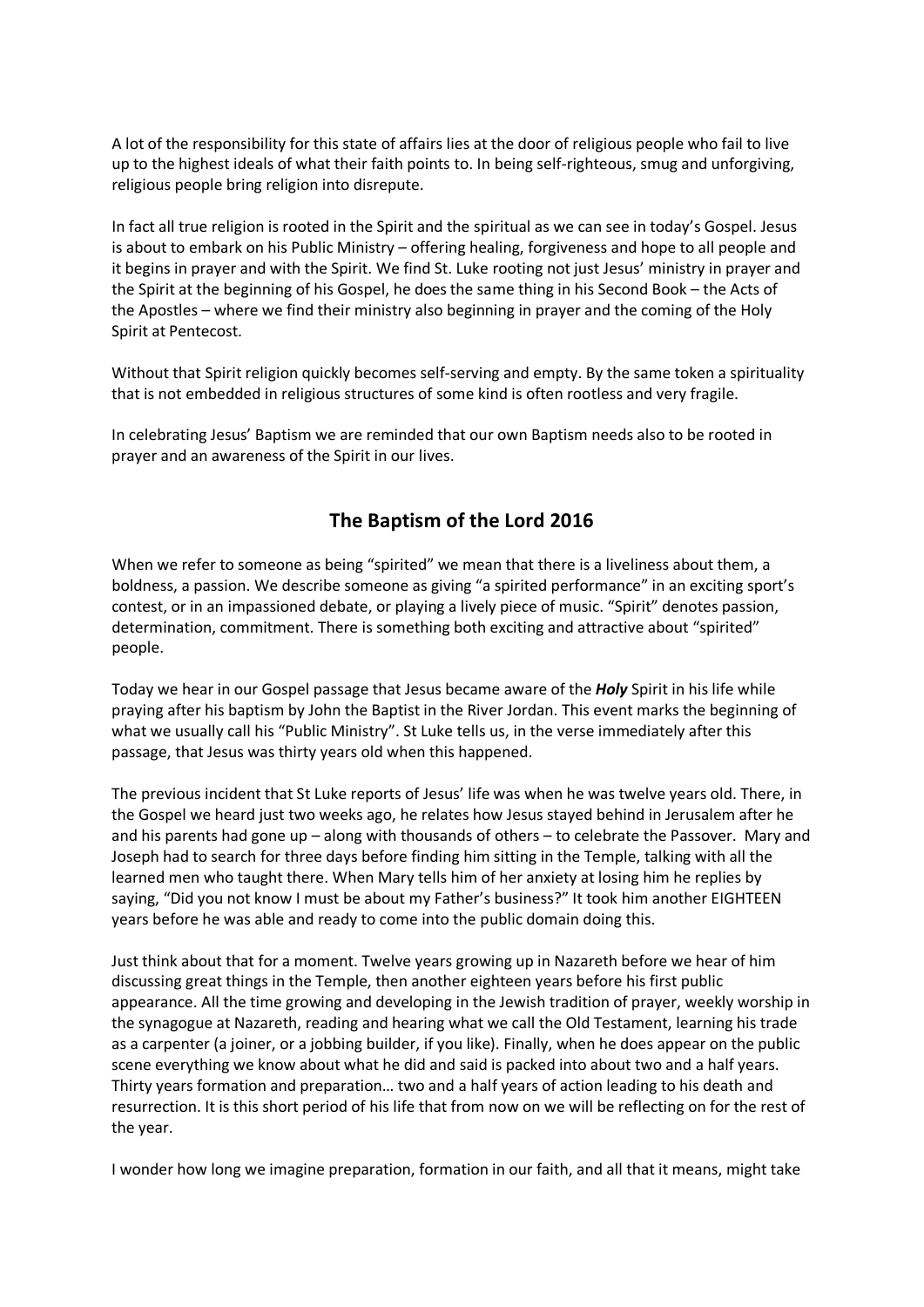A lot of the responsibility for this state of affairs lies at the door of religious people who fail to live up to the highest ideals of what their faith points to. In being self-righteous, smug and unforgiving, religious people bring religion into disrepute.

In fact all true religion is rooted in the Spirit and the spiritual as we can see in today's Gospel. Jesus is about to embark on his Public Ministry – offering healing, forgiveness and hope to all people and it begins in prayer and with the Spirit. We find St. Luke rooting not just Jesus' ministry in prayer and the Spirit at the beginning of his Gospel, he does the same thing in his Second Book – the Acts of the Apostles – where we find their ministry also beginning in prayer and the coming of the Holy Spirit at Pentecost.

Without that Spirit religion quickly becomes self-serving and empty. By the same token a spirituality that is not embedded in religious structures of some kind is often rootless and very fragile.

In celebrating Jesus' Baptism we are reminded that our own Baptism needs also to be rooted in prayer and an awareness of the Spirit in our lives.

# **The Baptism of the Lord 2016**

When we refer to someone as being "spirited" we mean that there is a liveliness about them, a boldness, a passion. We describe someone as giving "a spirited performance" in an exciting sport's contest, or in an impassioned debate, or playing a lively piece of music. "Spirit" denotes passion, determination, commitment. There is something both exciting and attractive about "spirited" people.

Today we hear in our Gospel passage that Jesus became aware of the *Holy* Spirit in his life while praying after his baptism by John the Baptist in the River Jordan. This event marks the beginning of what we usually call his "Public Ministry". St Luke tells us, in the verse immediately after this passage, that Jesus was thirty years old when this happened.

The previous incident that St Luke reports of Jesus' life was when he was twelve years old. There, in the Gospel we heard just two weeks ago, he relates how Jesus stayed behind in Jerusalem after he and his parents had gone up – along with thousands of others – to celebrate the Passover. Mary and Joseph had to search for three days before finding him sitting in the Temple, talking with all the learned men who taught there. When Mary tells him of her anxiety at losing him he replies by saying, "Did you not know I must be about my Father's business?" It took him another EIGHTEEN years before he was able and ready to come into the public domain doing this.

Just think about that for a moment. Twelve years growing up in Nazareth before we hear of him discussing great things in the Temple, then another eighteen years before his first public appearance. All the time growing and developing in the Jewish tradition of prayer, weekly worship in the synagogue at Nazareth, reading and hearing what we call the Old Testament, learning his trade as a carpenter (a joiner, or a jobbing builder, if you like). Finally, when he does appear on the public scene everything we know about what he did and said is packed into about two and a half years. Thirty years formation and preparation… two and a half years of action leading to his death and resurrection. It is this short period of his life that from now on we will be reflecting on for the rest of the year.

I wonder how long we imagine preparation, formation in our faith, and all that it means, might take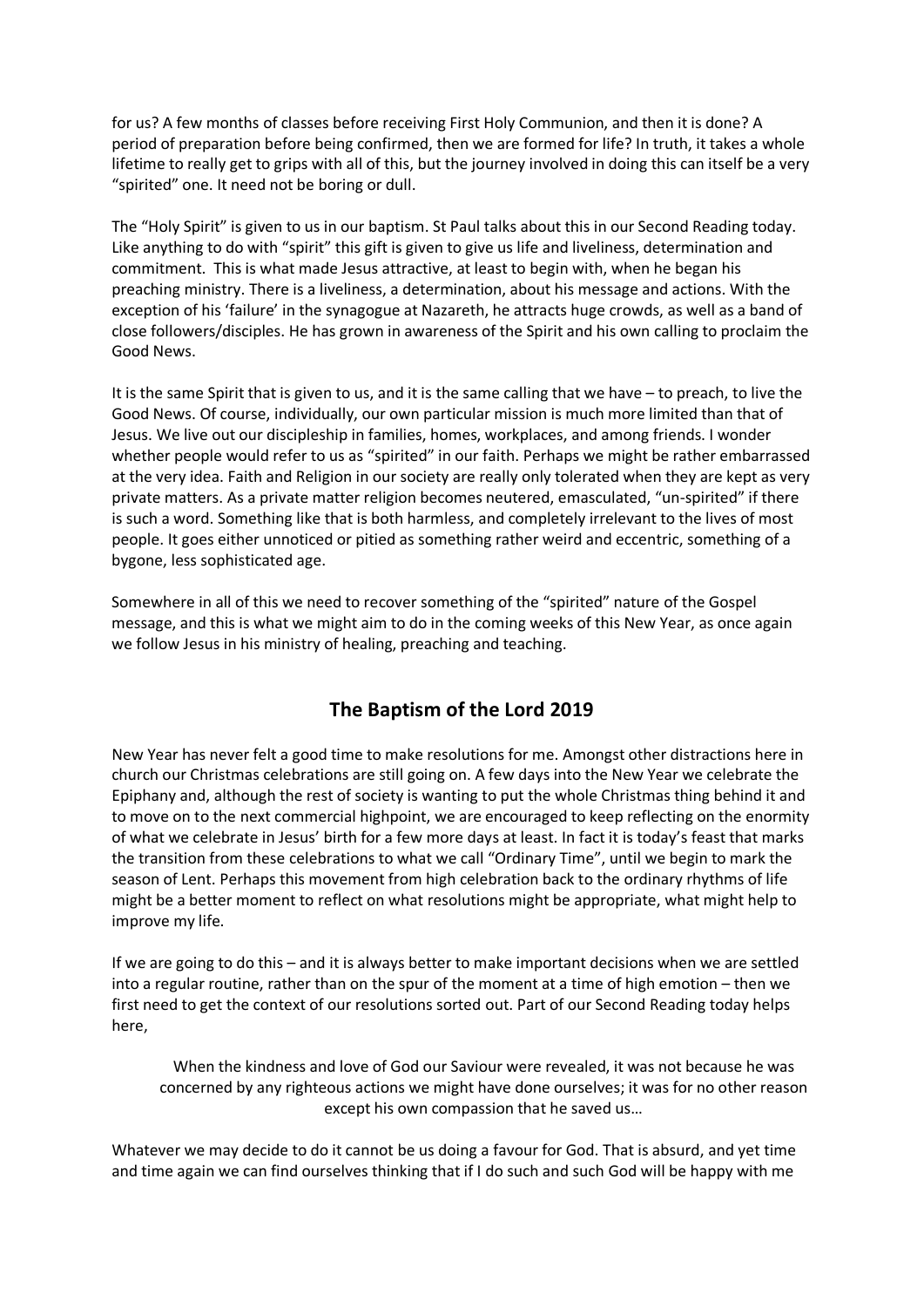for us? A few months of classes before receiving First Holy Communion, and then it is done? A period of preparation before being confirmed, then we are formed for life? In truth, it takes a whole lifetime to really get to grips with all of this, but the journey involved in doing this can itself be a very "spirited" one. It need not be boring or dull.

The "Holy Spirit" is given to us in our baptism. St Paul talks about this in our Second Reading today. Like anything to do with "spirit" this gift is given to give us life and liveliness, determination and commitment. This is what made Jesus attractive, at least to begin with, when he began his preaching ministry. There is a liveliness, a determination, about his message and actions. With the exception of his 'failure' in the synagogue at Nazareth, he attracts huge crowds, as well as a band of close followers/disciples. He has grown in awareness of the Spirit and his own calling to proclaim the Good News.

It is the same Spirit that is given to us, and it is the same calling that we have – to preach, to live the Good News. Of course, individually, our own particular mission is much more limited than that of Jesus. We live out our discipleship in families, homes, workplaces, and among friends. I wonder whether people would refer to us as "spirited" in our faith. Perhaps we might be rather embarrassed at the very idea. Faith and Religion in our society are really only tolerated when they are kept as very private matters. As a private matter religion becomes neutered, emasculated, "un-spirited" if there is such a word. Something like that is both harmless, and completely irrelevant to the lives of most people. It goes either unnoticed or pitied as something rather weird and eccentric, something of a bygone, less sophisticated age.

Somewhere in all of this we need to recover something of the "spirited" nature of the Gospel message, and this is what we might aim to do in the coming weeks of this New Year, as once again we follow Jesus in his ministry of healing, preaching and teaching.

# **The Baptism of the Lord 2019**

New Year has never felt a good time to make resolutions for me. Amongst other distractions here in church our Christmas celebrations are still going on. A few days into the New Year we celebrate the Epiphany and, although the rest of society is wanting to put the whole Christmas thing behind it and to move on to the next commercial highpoint, we are encouraged to keep reflecting on the enormity of what we celebrate in Jesus' birth for a few more days at least. In fact it is today's feast that marks the transition from these celebrations to what we call "Ordinary Time", until we begin to mark the season of Lent. Perhaps this movement from high celebration back to the ordinary rhythms of life might be a better moment to reflect on what resolutions might be appropriate, what might help to improve my life.

If we are going to do this – and it is always better to make important decisions when we are settled into a regular routine, rather than on the spur of the moment at a time of high emotion – then we first need to get the context of our resolutions sorted out. Part of our Second Reading today helps here,

When the kindness and love of God our Saviour were revealed, it was not because he was concerned by any righteous actions we might have done ourselves; it was for no other reason except his own compassion that he saved us…

Whatever we may decide to do it cannot be us doing a favour for God. That is absurd, and yet time and time again we can find ourselves thinking that if I do such and such God will be happy with me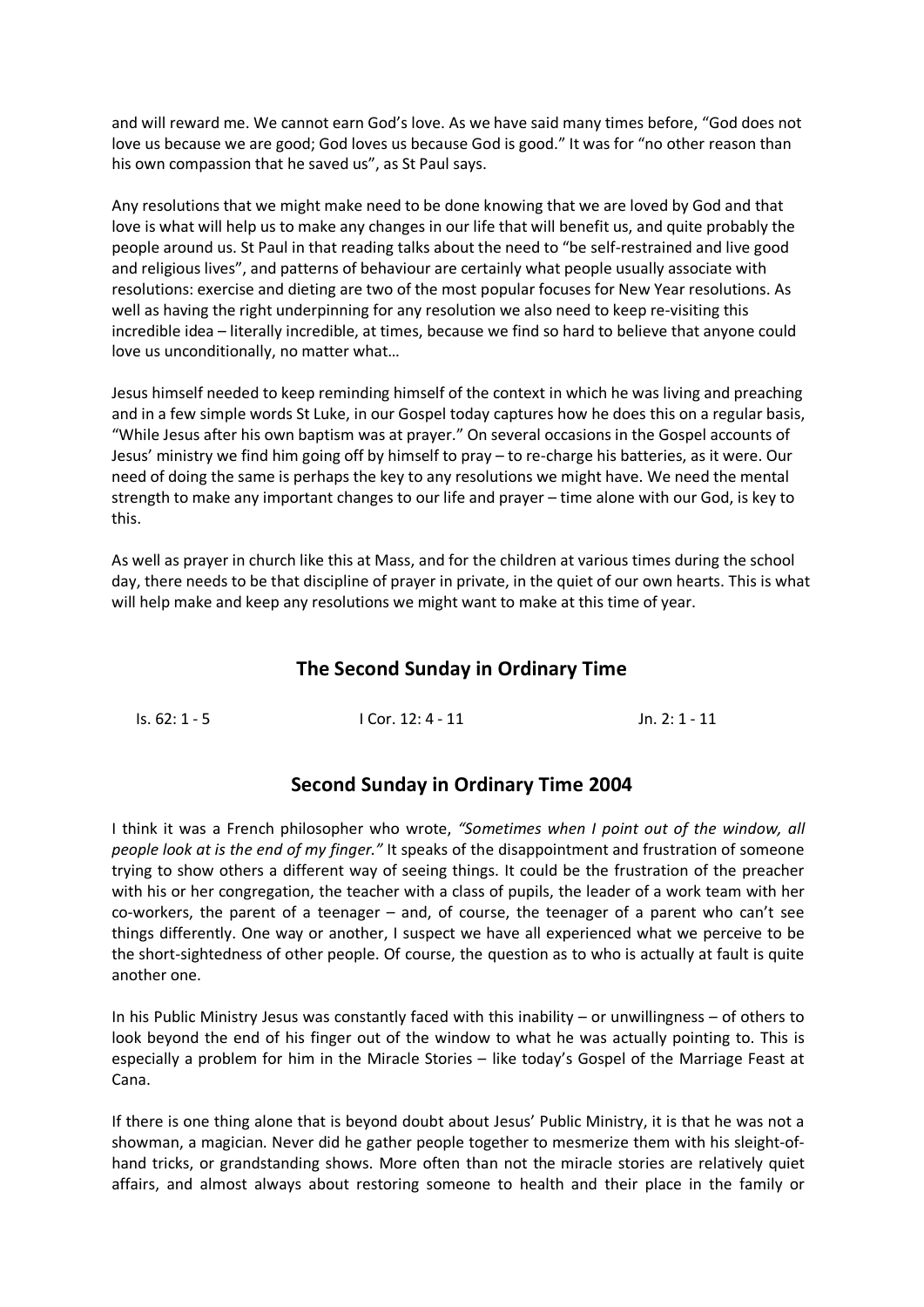and will reward me. We cannot earn God's love. As we have said many times before, "God does not love us because we are good; God loves us because God is good." It was for "no other reason than his own compassion that he saved us", as St Paul says.

Any resolutions that we might make need to be done knowing that we are loved by God and that love is what will help us to make any changes in our life that will benefit us, and quite probably the people around us. St Paul in that reading talks about the need to "be self-restrained and live good and religious lives", and patterns of behaviour are certainly what people usually associate with resolutions: exercise and dieting are two of the most popular focuses for New Year resolutions. As well as having the right underpinning for any resolution we also need to keep re-visiting this incredible idea – literally incredible, at times, because we find so hard to believe that anyone could love us unconditionally, no matter what…

Jesus himself needed to keep reminding himself of the context in which he was living and preaching and in a few simple words St Luke, in our Gospel today captures how he does this on a regular basis, "While Jesus after his own baptism was at prayer." On several occasions in the Gospel accounts of Jesus' ministry we find him going off by himself to pray – to re-charge his batteries, as it were. Our need of doing the same is perhaps the key to any resolutions we might have. We need the mental strength to make any important changes to our life and prayer – time alone with our God, is key to this.

As well as prayer in church like this at Mass, and for the children at various times during the school day, there needs to be that discipline of prayer in private, in the quiet of our own hearts. This is what will help make and keep any resolutions we might want to make at this time of year.

# **The Second Sunday in Ordinary Time**

| ls. 62: 1 - 5 | $ICor. 12: 4 - 11$ | Jn. 2: 1 - 11 |
|---------------|--------------------|---------------|
|               |                    |               |

### **Second Sunday in Ordinary Time 2004**

I think it was a French philosopher who wrote, *"Sometimes when I point out of the window, all people look at is the end of my finger."* It speaks of the disappointment and frustration of someone trying to show others a different way of seeing things. It could be the frustration of the preacher with his or her congregation, the teacher with a class of pupils, the leader of a work team with her co-workers, the parent of a teenager – and, of course, the teenager of a parent who can't see things differently. One way or another, I suspect we have all experienced what we perceive to be the short-sightedness of other people. Of course, the question as to who is actually at fault is quite another one.

In his Public Ministry Jesus was constantly faced with this inability – or unwillingness – of others to look beyond the end of his finger out of the window to what he was actually pointing to. This is especially a problem for him in the Miracle Stories – like today's Gospel of the Marriage Feast at Cana.

If there is one thing alone that is beyond doubt about Jesus' Public Ministry, it is that he was not a showman, a magician. Never did he gather people together to mesmerize them with his sleight-ofhand tricks, or grandstanding shows. More often than not the miracle stories are relatively quiet affairs, and almost always about restoring someone to health and their place in the family or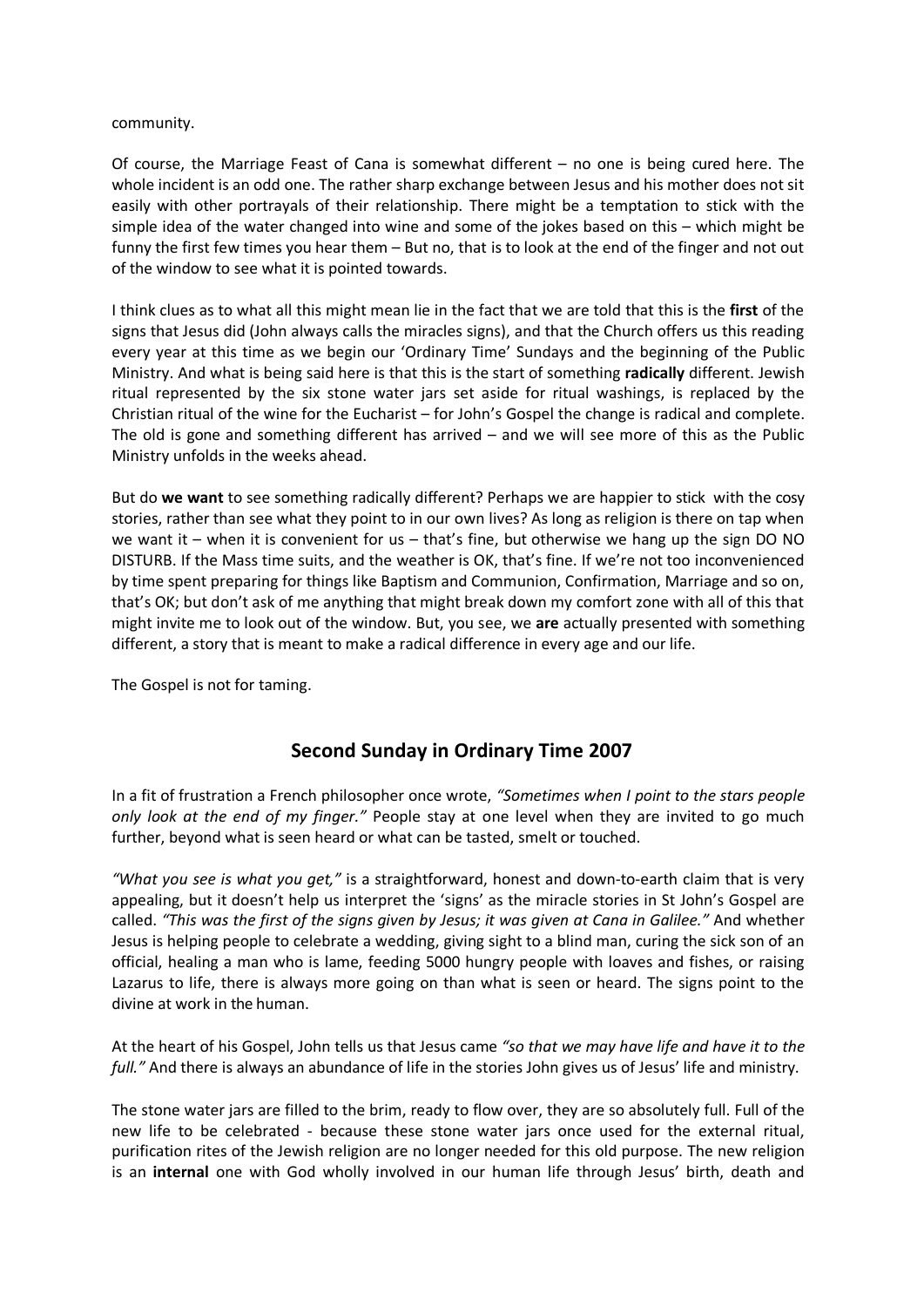#### community.

Of course, the Marriage Feast of Cana is somewhat different – no one is being cured here. The whole incident is an odd one. The rather sharp exchange between Jesus and his mother does not sit easily with other portrayals of their relationship. There might be a temptation to stick with the simple idea of the water changed into wine and some of the jokes based on this – which might be funny the first few times you hear them – But no, that is to look at the end of the finger and not out of the window to see what it is pointed towards.

I think clues as to what all this might mean lie in the fact that we are told that this is the **first** of the signs that Jesus did (John always calls the miracles signs), and that the Church offers us this reading every year at this time as we begin our 'Ordinary Time' Sundays and the beginning of the Public Ministry. And what is being said here is that this is the start of something **radically** different. Jewish ritual represented by the six stone water jars set aside for ritual washings, is replaced by the Christian ritual of the wine for the Eucharist – for John's Gospel the change is radical and complete. The old is gone and something different has arrived – and we will see more of this as the Public Ministry unfolds in the weeks ahead.

But do **we want** to see something radically different? Perhaps we are happier to stick with the cosy stories, rather than see what they point to in our own lives? As long as religion is there on tap when we want it – when it is convenient for us – that's fine, but otherwise we hang up the sign DO NO DISTURB. If the Mass time suits, and the weather is OK, that's fine. If we're not too inconvenienced by time spent preparing for things like Baptism and Communion, Confirmation, Marriage and so on, that's OK; but don't ask of me anything that might break down my comfort zone with all of this that might invite me to look out of the window. But, you see, we **are** actually presented with something different, a story that is meant to make a radical difference in every age and our life.

The Gospel is not for taming.

# **Second Sunday in Ordinary Time 2007**

In a fit of frustration a French philosopher once wrote, *"Sometimes when I point to the stars people only look at the end of my finger."* People stay at one level when they are invited to go much further, beyond what is seen heard or what can be tasted, smelt or touched.

*"What you see is what you get,"* is a straightforward, honest and down-to-earth claim that is very appealing, but it doesn't help us interpret the 'signs' as the miracle stories in St John's Gospel are called. *"This was the first of the signs given by Jesus; it was given at Cana in Galilee."* And whether Jesus is helping people to celebrate a wedding, giving sight to a blind man, curing the sick son of an official, healing a man who is lame, feeding 5000 hungry people with loaves and fishes, or raising Lazarus to life, there is always more going on than what is seen or heard. The signs point to the divine at work in the human.

At the heart of his Gospel, John tells us that Jesus came *"so that we may have life and have it to the full."* And there is always an abundance of life in the stories John gives us of Jesus' life and ministry.

The stone water jars are filled to the brim, ready to flow over, they are so absolutely full. Full of the new life to be celebrated - because these stone water jars once used for the external ritual, purification rites of the Jewish religion are no longer needed for this old purpose. The new religion is an **internal** one with God wholly involved in our human life through Jesus' birth, death and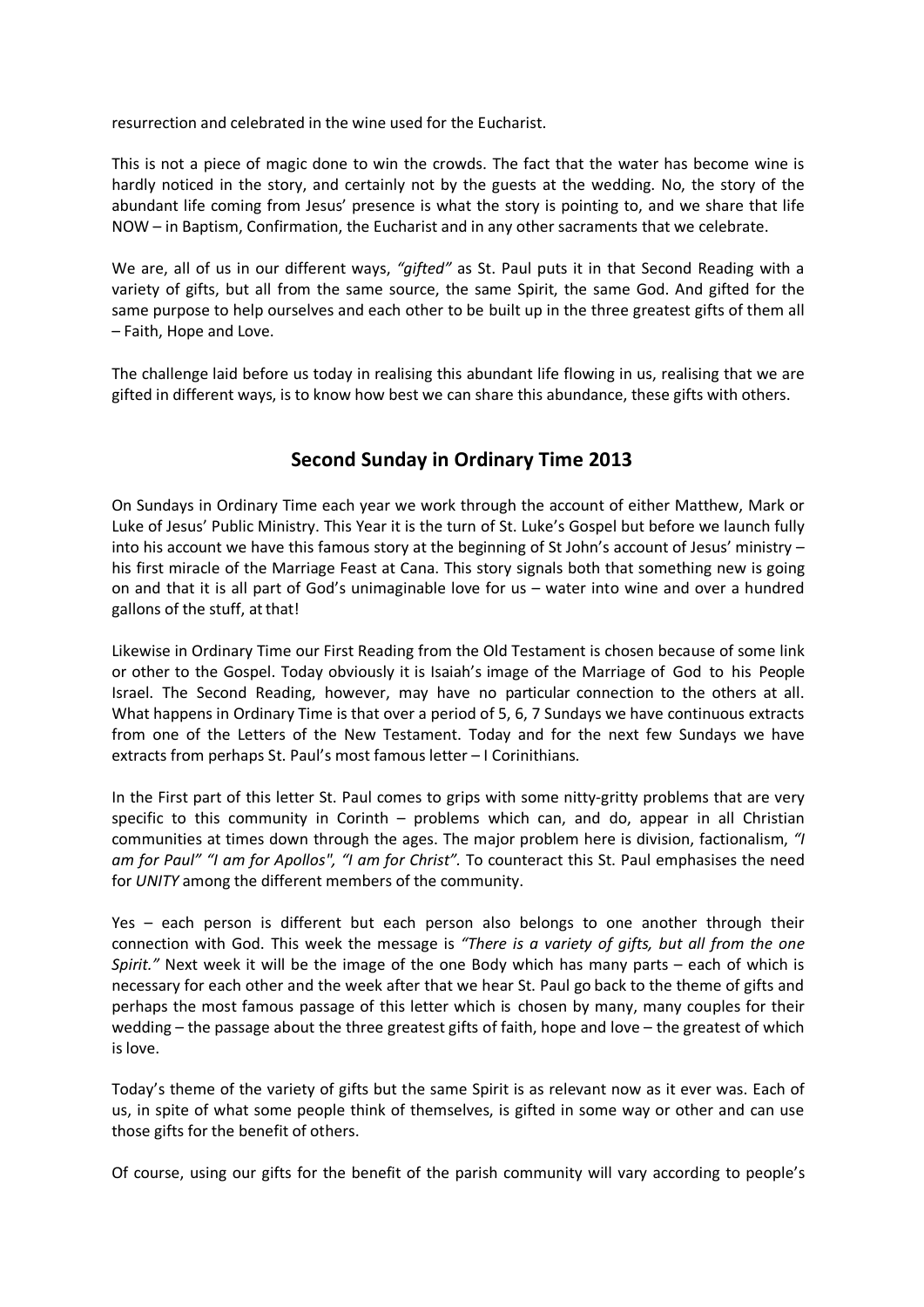resurrection and celebrated in the wine used for the Eucharist.

This is not a piece of magic done to win the crowds. The fact that the water has become wine is hardly noticed in the story, and certainly not by the guests at the wedding. No, the story of the abundant life coming from Jesus' presence is what the story is pointing to, and we share that life NOW – in Baptism, Confirmation, the Eucharist and in any other sacraments that we celebrate.

We are, all of us in our different ways, *"gifted"* as St. Paul puts it in that Second Reading with a variety of gifts, but all from the same source, the same Spirit, the same God. And gifted for the same purpose to help ourselves and each other to be built up in the three greatest gifts of them all – Faith, Hope and Love.

The challenge laid before us today in realising this abundant life flowing in us, realising that we are gifted in different ways, is to know how best we can share this abundance, these gifts with others.

# **Second Sunday in Ordinary Time 2013**

On Sundays in Ordinary Time each year we work through the account of either Matthew, Mark or Luke of Jesus' Public Ministry. This Year it is the turn of St. Luke's Gospel but before we launch fully into his account we have this famous story at the beginning of St John's account of Jesus' ministry – his first miracle of the Marriage Feast at Cana. This story signals both that something new is going on and that it is all part of God's unimaginable love for us – water into wine and over a hundred gallons of the stuff, at that!

Likewise in Ordinary Time our First Reading from the Old Testament is chosen because of some link or other to the Gospel. Today obviously it is Isaiah's image of the Marriage of God to his People Israel. The Second Reading, however, may have no particular connection to the others at all. What happens in Ordinary Time is that over a period of 5, 6, 7 Sundays we have continuous extracts from one of the Letters of the New Testament. Today and for the next few Sundays we have extracts from perhaps St. Paul's most famous letter – I Corinithians.

In the First part of this letter St. Paul comes to grips with some nitty-gritty problems that are very specific to this community in Corinth – problems which can, and do, appear in all Christian communities at times down through the ages. The major problem here is division, factionalism, *"I am for Paul" "I am for Apollos", "I am for Christ".* To counteract this St. Paul emphasises the need for *UNITY* among the different members of the community.

Yes – each person is different but each person also belongs to one another through their connection with God. This week the message is *"There is a variety of gifts, but all from the one Spirit."* Next week it will be the image of the one Body which has many parts – each of which is necessary for each other and the week after that we hear St. Paul go back to the theme of gifts and perhaps the most famous passage of this letter which is chosen by many, many couples for their wedding – the passage about the three greatest gifts of faith, hope and love – the greatest of which is love.

Today's theme of the variety of gifts but the same Spirit is as relevant now as it ever was. Each of us, in spite of what some people think of themselves, is gifted in some way or other and can use those gifts for the benefit of others.

Of course, using our gifts for the benefit of the parish community will vary according to people's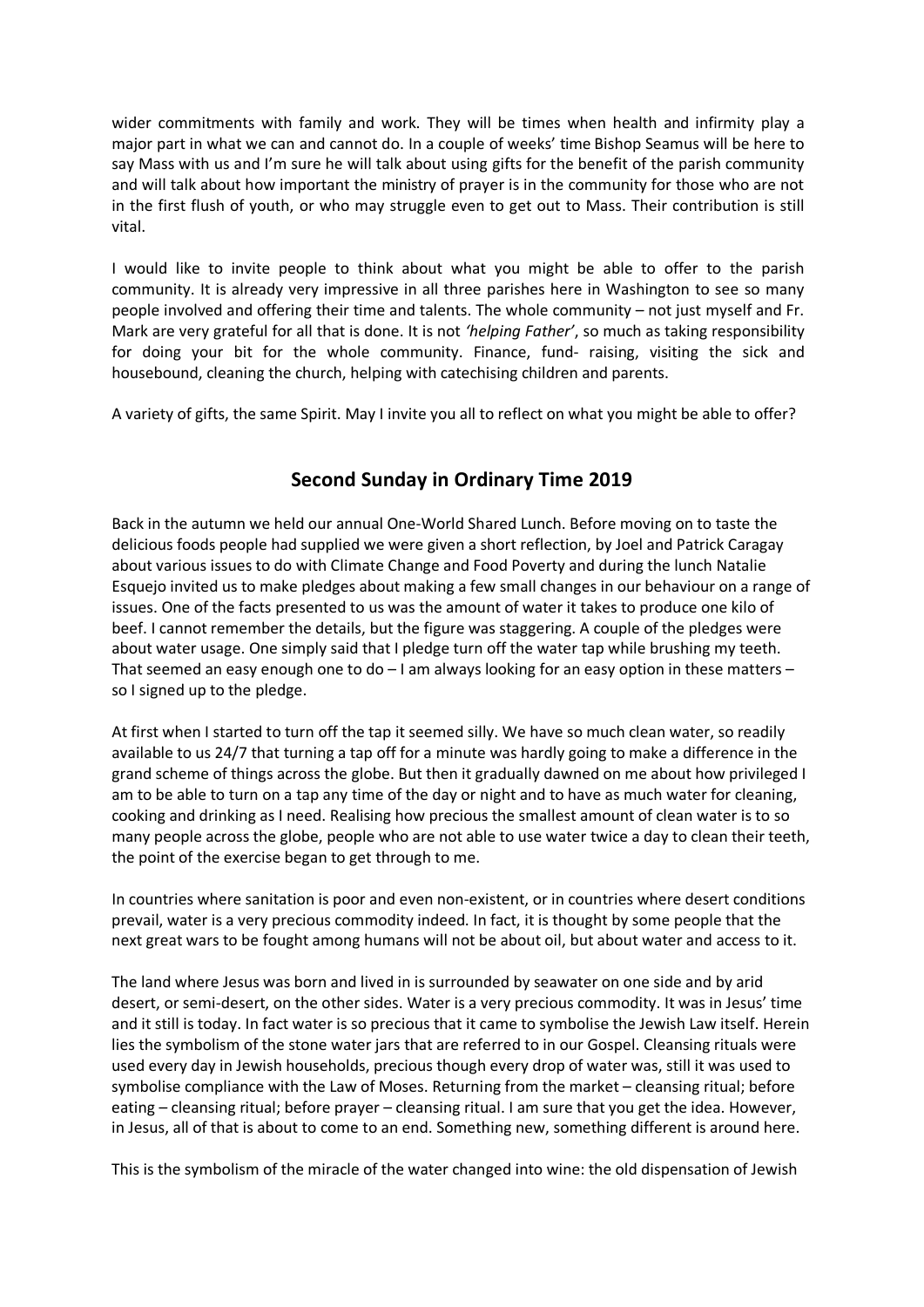wider commitments with family and work. They will be times when health and infirmity play a major part in what we can and cannot do. In a couple of weeks' time Bishop Seamus will be here to say Mass with us and I'm sure he will talk about using gifts for the benefit of the parish community and will talk about how important the ministry of prayer is in the community for those who are not in the first flush of youth, or who may struggle even to get out to Mass. Their contribution is still vital.

I would like to invite people to think about what you might be able to offer to the parish community. It is already very impressive in all three parishes here in Washington to see so many people involved and offering their time and talents. The whole community – not just myself and Fr. Mark are very grateful for all that is done. It is not *'helping Father'*, so much as taking responsibility for doing your bit for the whole community. Finance, fund- raising, visiting the sick and housebound, cleaning the church, helping with catechising children and parents.

A variety of gifts, the same Spirit. May I invite you all to reflect on what you might be able to offer?

# **Second Sunday in Ordinary Time 2019**

Back in the autumn we held our annual One-World Shared Lunch. Before moving on to taste the delicious foods people had supplied we were given a short reflection, by Joel and Patrick Caragay about various issues to do with Climate Change and Food Poverty and during the lunch Natalie Esquejo invited us to make pledges about making a few small changes in our behaviour on a range of issues. One of the facts presented to us was the amount of water it takes to produce one kilo of beef. I cannot remember the details, but the figure was staggering. A couple of the pledges were about water usage. One simply said that I pledge turn off the water tap while brushing my teeth. That seemed an easy enough one to do – I am always looking for an easy option in these matters – so I signed up to the pledge.

At first when I started to turn off the tap it seemed silly. We have so much clean water, so readily available to us 24/7 that turning a tap off for a minute was hardly going to make a difference in the grand scheme of things across the globe. But then it gradually dawned on me about how privileged I am to be able to turn on a tap any time of the day or night and to have as much water for cleaning, cooking and drinking as I need. Realising how precious the smallest amount of clean water is to so many people across the globe, people who are not able to use water twice a day to clean their teeth, the point of the exercise began to get through to me.

In countries where sanitation is poor and even non-existent, or in countries where desert conditions prevail, water is a very precious commodity indeed. In fact, it is thought by some people that the next great wars to be fought among humans will not be about oil, but about water and access to it.

The land where Jesus was born and lived in is surrounded by seawater on one side and by arid desert, or semi-desert, on the other sides. Water is a very precious commodity. It was in Jesus' time and it still is today. In fact water is so precious that it came to symbolise the Jewish Law itself. Herein lies the symbolism of the stone water jars that are referred to in our Gospel. Cleansing rituals were used every day in Jewish households, precious though every drop of water was, still it was used to symbolise compliance with the Law of Moses. Returning from the market – cleansing ritual; before eating – cleansing ritual; before prayer – cleansing ritual. I am sure that you get the idea. However, in Jesus, all of that is about to come to an end. Something new, something different is around here.

This is the symbolism of the miracle of the water changed into wine: the old dispensation of Jewish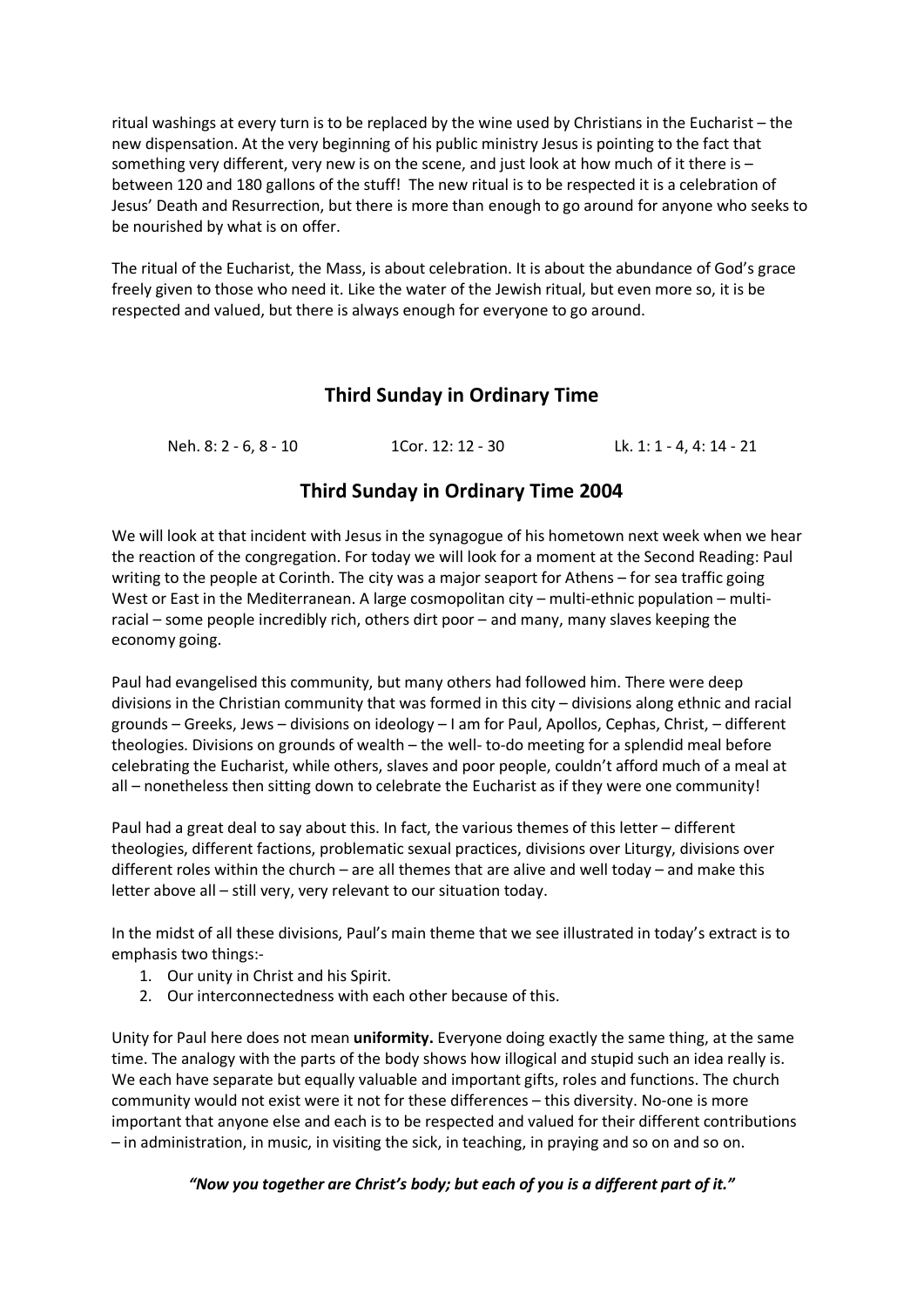ritual washings at every turn is to be replaced by the wine used by Christians in the Eucharist – the new dispensation. At the very beginning of his public ministry Jesus is pointing to the fact that something very different, very new is on the scene, and just look at how much of it there is – between 120 and 180 gallons of the stuff! The new ritual is to be respected it is a celebration of Jesus' Death and Resurrection, but there is more than enough to go around for anyone who seeks to be nourished by what is on offer.

The ritual of the Eucharist, the Mass, is about celebration. It is about the abundance of God's grace freely given to those who need it. Like the water of the Jewish ritual, but even more so, it is be respected and valued, but there is always enough for everyone to go around.

# **Third Sunday in Ordinary Time**

Neh. 8: 2 - 6, 8 - 10 1Cor. 12: 12 - 30 Lk. 1: 1 - 4, 4: 14 - 21

# **Third Sunday in Ordinary Time 2004**

We will look at that incident with Jesus in the synagogue of his hometown next week when we hear the reaction of the congregation. For today we will look for a moment at the Second Reading: Paul writing to the people at Corinth. The city was a major seaport for Athens – for sea traffic going West or East in the Mediterranean. A large cosmopolitan city – multi-ethnic population – multiracial – some people incredibly rich, others dirt poor – and many, many slaves keeping the economy going.

Paul had evangelised this community, but many others had followed him. There were deep divisions in the Christian community that was formed in this city – divisions along ethnic and racial grounds – Greeks, Jews – divisions on ideology – I am for Paul, Apollos, Cephas, Christ, – different theologies. Divisions on grounds of wealth – the well- to-do meeting for a splendid meal before celebrating the Eucharist, while others, slaves and poor people, couldn't afford much of a meal at all – nonetheless then sitting down to celebrate the Eucharist as if they were one community!

Paul had a great deal to say about this. In fact, the various themes of this letter – different theologies, different factions, problematic sexual practices, divisions over Liturgy, divisions over different roles within the church – are all themes that are alive and well today – and make this letter above all – still very, very relevant to our situation today.

In the midst of all these divisions, Paul's main theme that we see illustrated in today's extract is to emphasis two things:-

- 1. Our unity in Christ and his Spirit.
- 2. Our interconnectedness with each other because of this.

Unity for Paul here does not mean **uniformity.** Everyone doing exactly the same thing, at the same time. The analogy with the parts of the body shows how illogical and stupid such an idea really is. We each have separate but equally valuable and important gifts, roles and functions. The church community would not exist were it not for these differences – this diversity. No-one is more important that anyone else and each is to be respected and valued for their different contributions – in administration, in music, in visiting the sick, in teaching, in praying and so on and so on.

#### *"Now you together are Christ's body; but each of you is a different part of it."*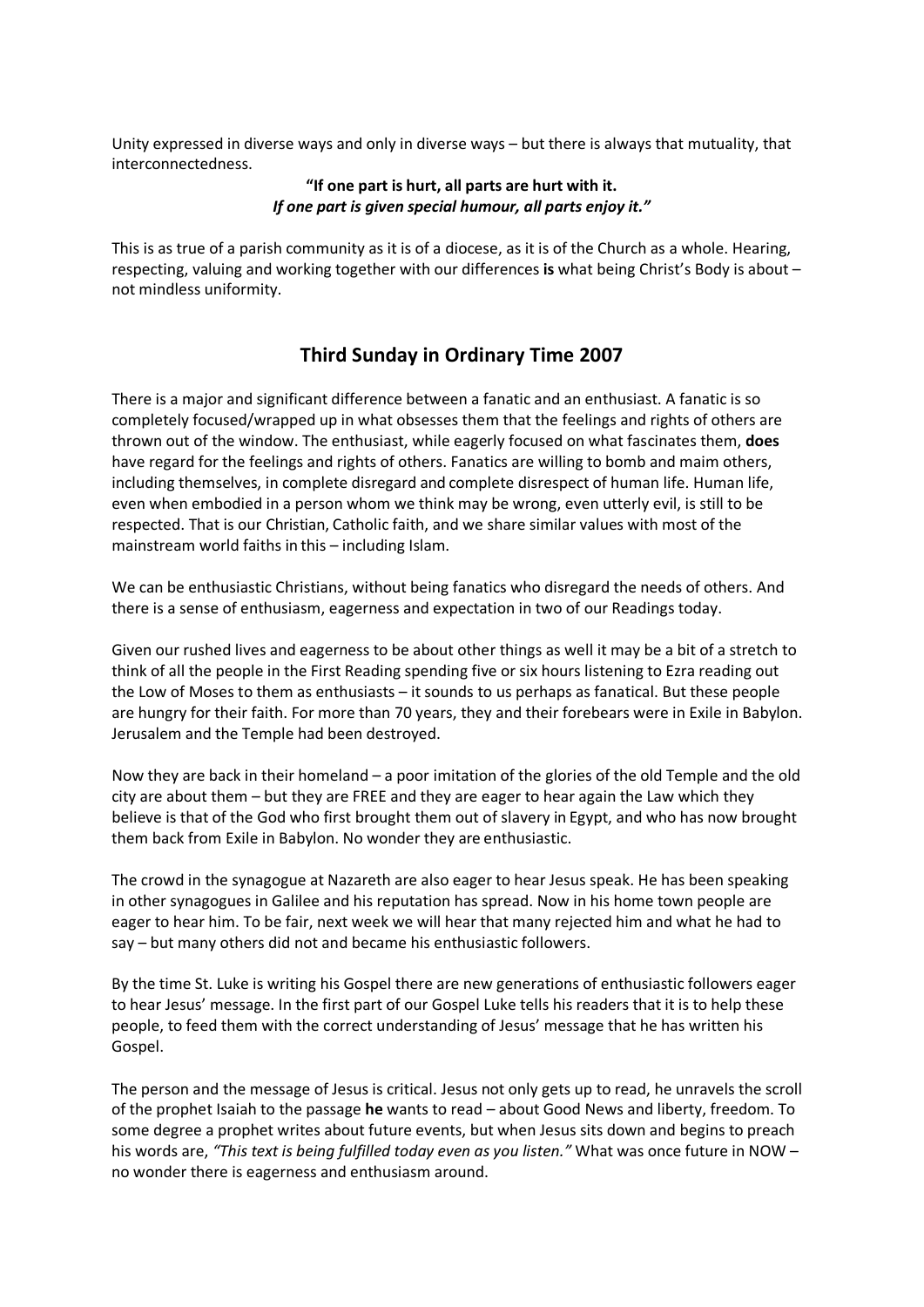Unity expressed in diverse ways and only in diverse ways – but there is always that mutuality, that interconnectedness.

#### **"If one part is hurt, all parts are hurt with it.** *If one part is given special humour, all parts enjoy it."*

This is as true of a parish community as it is of a diocese, as it is of the Church as a whole. Hearing, respecting, valuing and working together with our differences **is** what being Christ's Body is about – not mindless uniformity.

# **Third Sunday in Ordinary Time 2007**

There is a major and significant difference between a fanatic and an enthusiast. A fanatic is so completely focused/wrapped up in what obsesses them that the feelings and rights of others are thrown out of the window. The enthusiast, while eagerly focused on what fascinates them, **does**  have regard for the feelings and rights of others. Fanatics are willing to bomb and maim others, including themselves, in complete disregard and complete disrespect of human life. Human life, even when embodied in a person whom we think may be wrong, even utterly evil, is still to be respected. That is our Christian, Catholic faith, and we share similar values with most of the mainstream world faiths in this – including Islam.

We can be enthusiastic Christians, without being fanatics who disregard the needs of others. And there is a sense of enthusiasm, eagerness and expectation in two of our Readings today.

Given our rushed lives and eagerness to be about other things as well it may be a bit of a stretch to think of all the people in the First Reading spending five or six hours listening to Ezra reading out the Low of Moses to them as enthusiasts – it sounds to us perhaps as fanatical. But these people are hungry for their faith. For more than 70 years, they and their forebears were in Exile in Babylon. Jerusalem and the Temple had been destroyed.

Now they are back in their homeland – a poor imitation of the glories of the old Temple and the old city are about them – but they are FREE and they are eager to hear again the Law which they believe is that of the God who first brought them out of slavery in Egypt, and who has now brought them back from Exile in Babylon. No wonder they are enthusiastic.

The crowd in the synagogue at Nazareth are also eager to hear Jesus speak. He has been speaking in other synagogues in Galilee and his reputation has spread. Now in his home town people are eager to hear him. To be fair, next week we will hear that many rejected him and what he had to say – but many others did not and became his enthusiastic followers.

By the time St. Luke is writing his Gospel there are new generations of enthusiastic followers eager to hear Jesus' message. In the first part of our Gospel Luke tells his readers that it is to help these people, to feed them with the correct understanding of Jesus' message that he has written his Gospel.

The person and the message of Jesus is critical. Jesus not only gets up to read, he unravels the scroll of the prophet Isaiah to the passage **he** wants to read – about Good News and liberty, freedom. To some degree a prophet writes about future events, but when Jesus sits down and begins to preach his words are, *"This text is being fulfilled today even as you listen."* What was once future in NOW – no wonder there is eagerness and enthusiasm around.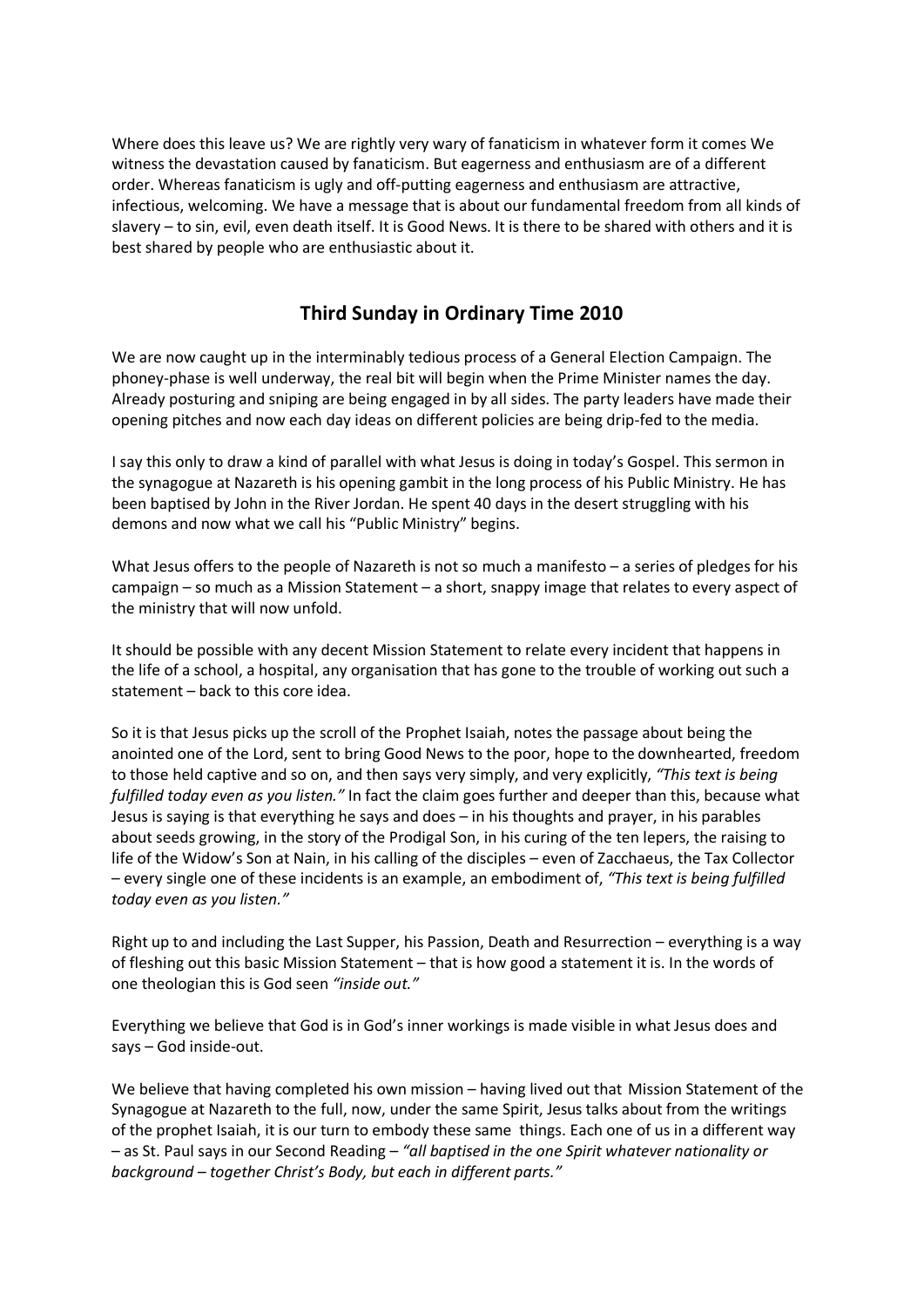Where does this leave us? We are rightly very wary of fanaticism in whatever form it comes We witness the devastation caused by fanaticism. But eagerness and enthusiasm are of a different order. Whereas fanaticism is ugly and off-putting eagerness and enthusiasm are attractive, infectious, welcoming. We have a message that is about our fundamental freedom from all kinds of slavery – to sin, evil, even death itself. It is Good News. It is there to be shared with others and it is best shared by people who are enthusiastic about it.

# **Third Sunday in Ordinary Time 2010**

We are now caught up in the interminably tedious process of a General Election Campaign. The phoney-phase is well underway, the real bit will begin when the Prime Minister names the day. Already posturing and sniping are being engaged in by all sides. The party leaders have made their opening pitches and now each day ideas on different policies are being drip-fed to the media.

I say this only to draw a kind of parallel with what Jesus is doing in today's Gospel. This sermon in the synagogue at Nazareth is his opening gambit in the long process of his Public Ministry. He has been baptised by John in the River Jordan. He spent 40 days in the desert struggling with his demons and now what we call his "Public Ministry" begins.

What Jesus offers to the people of Nazareth is not so much a manifesto – a series of pledges for his campaign – so much as a Mission Statement – a short, snappy image that relates to every aspect of the ministry that will now unfold.

It should be possible with any decent Mission Statement to relate every incident that happens in the life of a school, a hospital, any organisation that has gone to the trouble of working out such a statement – back to this core idea.

So it is that Jesus picks up the scroll of the Prophet Isaiah, notes the passage about being the anointed one of the Lord, sent to bring Good News to the poor, hope to the downhearted, freedom to those held captive and so on, and then says very simply, and very explicitly, *"This text is being fulfilled today even as you listen."* In fact the claim goes further and deeper than this, because what Jesus is saying is that everything he says and does – in his thoughts and prayer, in his parables about seeds growing, in the story of the Prodigal Son, in his curing of the ten lepers, the raising to life of the Widow's Son at Nain, in his calling of the disciples – even of Zacchaeus, the Tax Collector – every single one of these incidents is an example, an embodiment of, *"This text is being fulfilled today even as you listen."*

Right up to and including the Last Supper, his Passion, Death and Resurrection – everything is a way of fleshing out this basic Mission Statement – that is how good a statement it is. In the words of one theologian this is God seen *"inside out."*

Everything we believe that God is in God's inner workings is made visible in what Jesus does and says – God inside-out.

We believe that having completed his own mission – having lived out that Mission Statement of the Synagogue at Nazareth to the full, now, under the same Spirit, Jesus talks about from the writings of the prophet Isaiah, it is our turn to embody these same things. Each one of us in a different way – as St. Paul says in our Second Reading – *"all baptised in the one Spirit whatever nationality or background – together Christ's Body, but each in different parts."*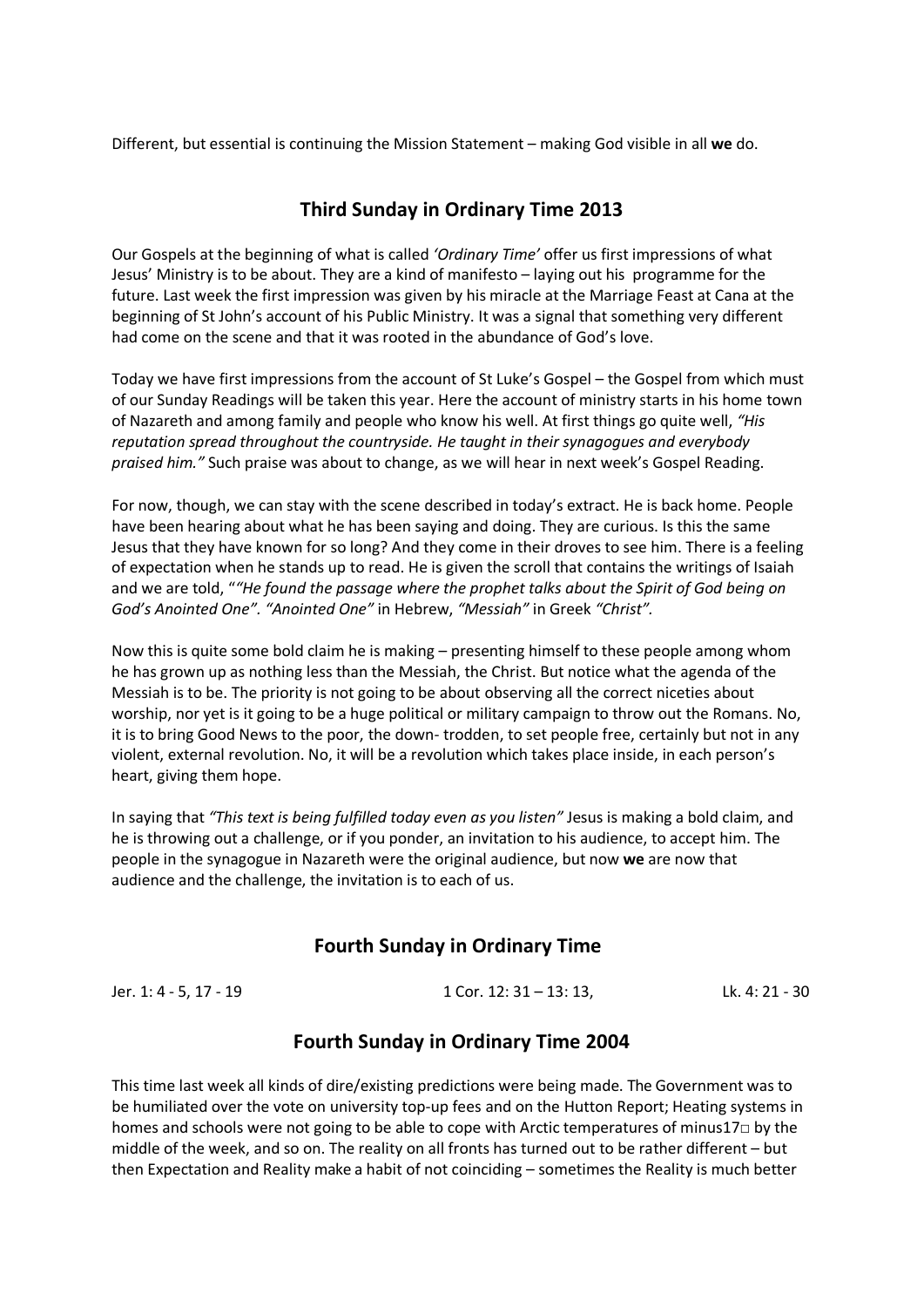Different, but essential is continuing the Mission Statement – making God visible in all **we** do.

# **Third Sunday in Ordinary Time 2013**

Our Gospels at the beginning of what is called *'Ordinary Time'* offer us first impressions of what Jesus' Ministry is to be about. They are a kind of manifesto – laying out his programme for the future. Last week the first impression was given by his miracle at the Marriage Feast at Cana at the beginning of St John's account of his Public Ministry. It was a signal that something very different had come on the scene and that it was rooted in the abundance of God's love.

Today we have first impressions from the account of St Luke's Gospel – the Gospel from which must of our Sunday Readings will be taken this year. Here the account of ministry starts in his home town of Nazareth and among family and people who know his well. At first things go quite well, *"His reputation spread throughout the countryside. He taught in their synagogues and everybody praised him."* Such praise was about to change, as we will hear in next week's Gospel Reading.

For now, though, we can stay with the scene described in today's extract. He is back home. People have been hearing about what he has been saying and doing. They are curious. Is this the same Jesus that they have known for so long? And they come in their droves to see him. There is a feeling of expectation when he stands up to read. He is given the scroll that contains the writings of Isaiah and we are told, "*"He found the passage where the prophet talks about the Spirit of God being on God's Anointed One". "Anointed One"* in Hebrew, *"Messiah"* in Greek *"Christ".*

Now this is quite some bold claim he is making – presenting himself to these people among whom he has grown up as nothing less than the Messiah, the Christ. But notice what the agenda of the Messiah is to be. The priority is not going to be about observing all the correct niceties about worship, nor yet is it going to be a huge political or military campaign to throw out the Romans. No, it is to bring Good News to the poor, the down- trodden, to set people free, certainly but not in any violent, external revolution. No, it will be a revolution which takes place inside, in each person's heart, giving them hope.

In saying that *"This text is being fulfilled today even as you listen"* Jesus is making a bold claim, and he is throwing out a challenge, or if you ponder, an invitation to his audience, to accept him. The people in the synagogue in Nazareth were the original audience, but now **we** are now that audience and the challenge, the invitation is to each of us.

# **Fourth Sunday in Ordinary Time**

Jer. 1: 4 - 5, 17 - 19 1 Cor. 12: 31 – 13: 13, Lk. 4: 21 - 30

### **Fourth Sunday in Ordinary Time 2004**

This time last week all kinds of dire/existing predictions were being made. The Government was to be humiliated over the vote on university top-up fees and on the Hutton Report; Heating systems in homes and schools were not going to be able to cope with Arctic temperatures of minus17□ by the middle of the week, and so on. The reality on all fronts has turned out to be rather different – but then Expectation and Reality make a habit of not coinciding – sometimes the Reality is much better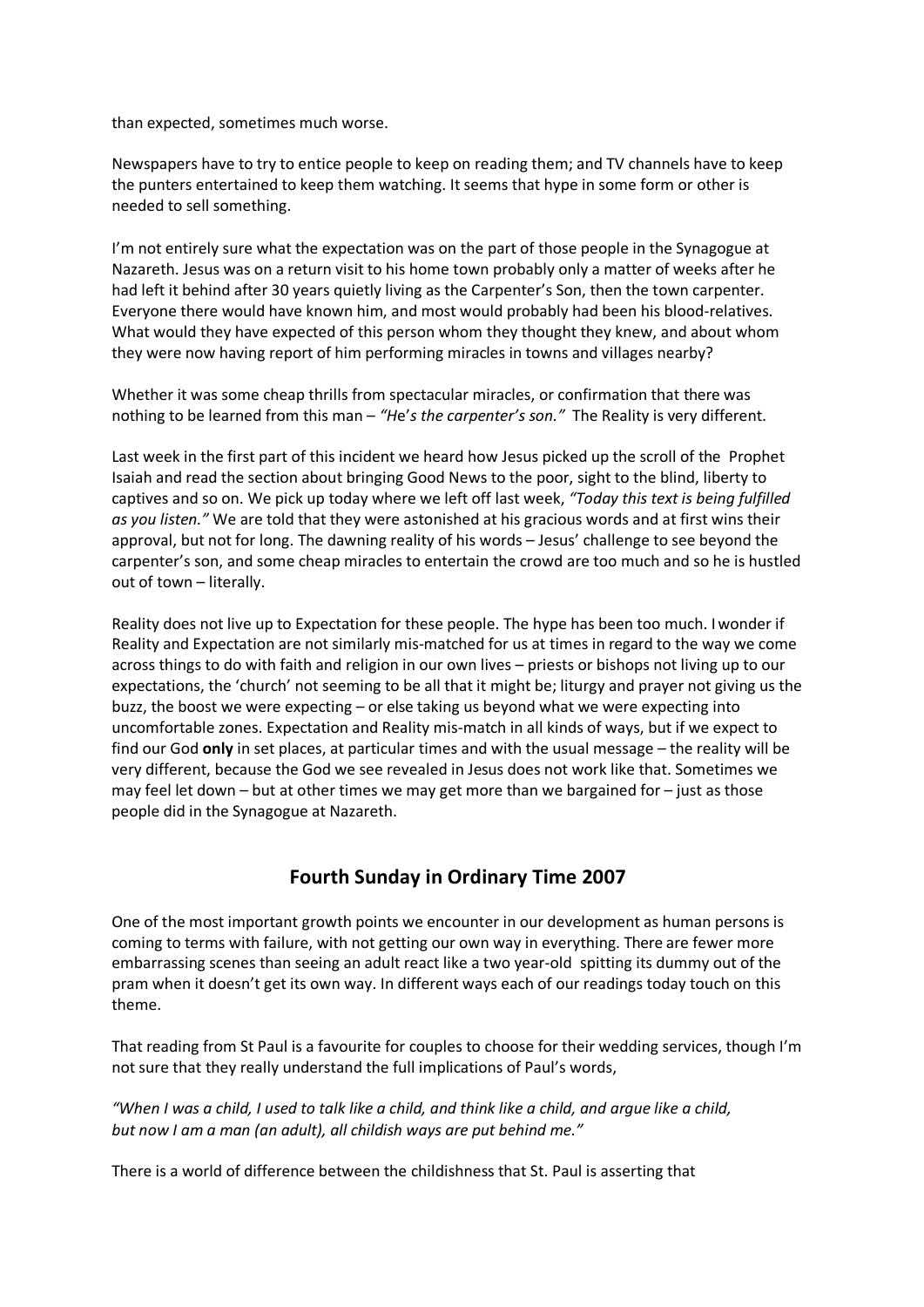than expected, sometimes much worse.

Newspapers have to try to entice people to keep on reading them; and TV channels have to keep the punters entertained to keep them watching. It seems that hype in some form or other is needed to sell something.

I'm not entirely sure what the expectation was on the part of those people in the Synagogue at Nazareth. Jesus was on a return visit to his home town probably only a matter of weeks after he had left it behind after 30 years quietly living as the Carpenter's Son, then the town carpenter. Everyone there would have known him, and most would probably had been his blood-relatives. What would they have expected of this person whom they thought they knew, and about whom they were now having report of him performing miracles in towns and villages nearby?

Whether it was some cheap thrills from spectacular miracles, or confirmation that there was nothing to be learned from this man – *"H*e'*s the carpenter's son."* The Reality is very different.

Last week in the first part of this incident we heard how Jesus picked up the scroll of the Prophet Isaiah and read the section about bringing Good News to the poor, sight to the blind, liberty to captives and so on. We pick up today where we left off last week, *"Today this text is being fulfilled as you listen."* We are told that they were astonished at his gracious words and at first wins their approval, but not for long. The dawning reality of his words – Jesus' challenge to see beyond the carpenter's son, and some cheap miracles to entertain the crowd are too much and so he is hustled out of town – literally.

Reality does not live up to Expectation for these people. The hype has been too much. I wonder if Reality and Expectation are not similarly mis-matched for us at times in regard to the way we come across things to do with faith and religion in our own lives – priests or bishops not living up to our expectations, the 'church' not seeming to be all that it might be; liturgy and prayer not giving us the buzz, the boost we were expecting – or else taking us beyond what we were expecting into uncomfortable zones. Expectation and Reality mis-match in all kinds of ways, but if we expect to find our God **only** in set places, at particular times and with the usual message – the reality will be very different, because the God we see revealed in Jesus does not work like that. Sometimes we may feel let down – but at other times we may get more than we bargained for – just as those people did in the Synagogue at Nazareth.

# **Fourth Sunday in Ordinary Time 2007**

One of the most important growth points we encounter in our development as human persons is coming to terms with failure, with not getting our own way in everything. There are fewer more embarrassing scenes than seeing an adult react like a two year-old spitting its dummy out of the pram when it doesn't get its own way. In different ways each of our readings today touch on this theme.

That reading from St Paul is a favourite for couples to choose for their wedding services, though I'm not sure that they really understand the full implications of Paul's words,

*"When I was a child, I used to talk like a child, and think like a child, and argue like a child, but now I am a man (an adult), all childish ways are put behind me."*

There is a world of difference between the childishness that St. Paul is asserting that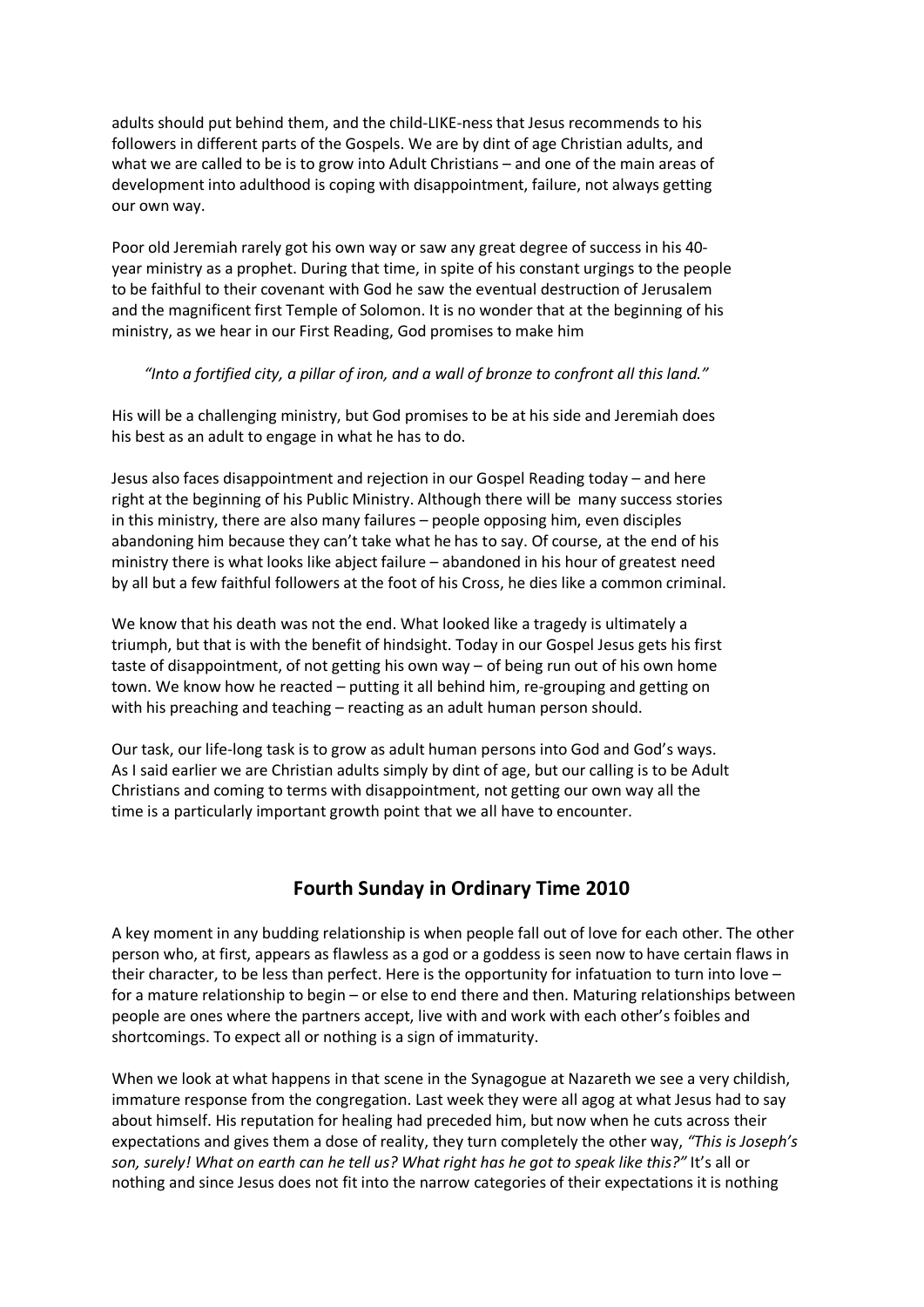adults should put behind them, and the child-LIKE-ness that Jesus recommends to his followers in different parts of the Gospels. We are by dint of age Christian adults, and what we are called to be is to grow into Adult Christians – and one of the main areas of development into adulthood is coping with disappointment, failure, not always getting our own way.

Poor old Jeremiah rarely got his own way or saw any great degree of success in his 40 year ministry as a prophet. During that time, in spite of his constant urgings to the people to be faithful to their covenant with God he saw the eventual destruction of Jerusalem and the magnificent first Temple of Solomon. It is no wonder that at the beginning of his ministry, as we hear in our First Reading, God promises to make him

#### *"Into a fortified city, a pillar of iron, and a wall of bronze to confront all this land."*

His will be a challenging ministry, but God promises to be at his side and Jeremiah does his best as an adult to engage in what he has to do.

Jesus also faces disappointment and rejection in our Gospel Reading today – and here right at the beginning of his Public Ministry. Although there will be many success stories in this ministry, there are also many failures – people opposing him, even disciples abandoning him because they can't take what he has to say. Of course, at the end of his ministry there is what looks like abject failure – abandoned in his hour of greatest need by all but a few faithful followers at the foot of his Cross, he dies like a common criminal.

We know that his death was not the end. What looked like a tragedy is ultimately a triumph, but that is with the benefit of hindsight. Today in our Gospel Jesus gets his first taste of disappointment, of not getting his own way – of being run out of his own home town. We know how he reacted – putting it all behind him, re-grouping and getting on with his preaching and teaching – reacting as an adult human person should.

Our task, our life-long task is to grow as adult human persons into God and God's ways. As I said earlier we are Christian adults simply by dint of age, but our calling is to be Adult Christians and coming to terms with disappointment, not getting our own way all the time is a particularly important growth point that we all have to encounter.

# **Fourth Sunday in Ordinary Time 2010**

A key moment in any budding relationship is when people fall out of love for each other. The other person who, at first, appears as flawless as a god or a goddess is seen now to have certain flaws in their character, to be less than perfect. Here is the opportunity for infatuation to turn into love – for a mature relationship to begin – or else to end there and then. Maturing relationships between people are ones where the partners accept, live with and work with each other's foibles and shortcomings. To expect all or nothing is a sign of immaturity.

When we look at what happens in that scene in the Synagogue at Nazareth we see a very childish, immature response from the congregation. Last week they were all agog at what Jesus had to say about himself. His reputation for healing had preceded him, but now when he cuts across their expectations and gives them a dose of reality, they turn completely the other way, *"This is Joseph's son, surely! What on earth can he tell us? What right has he got to speak like this?"* It's all or nothing and since Jesus does not fit into the narrow categories of their expectations it is nothing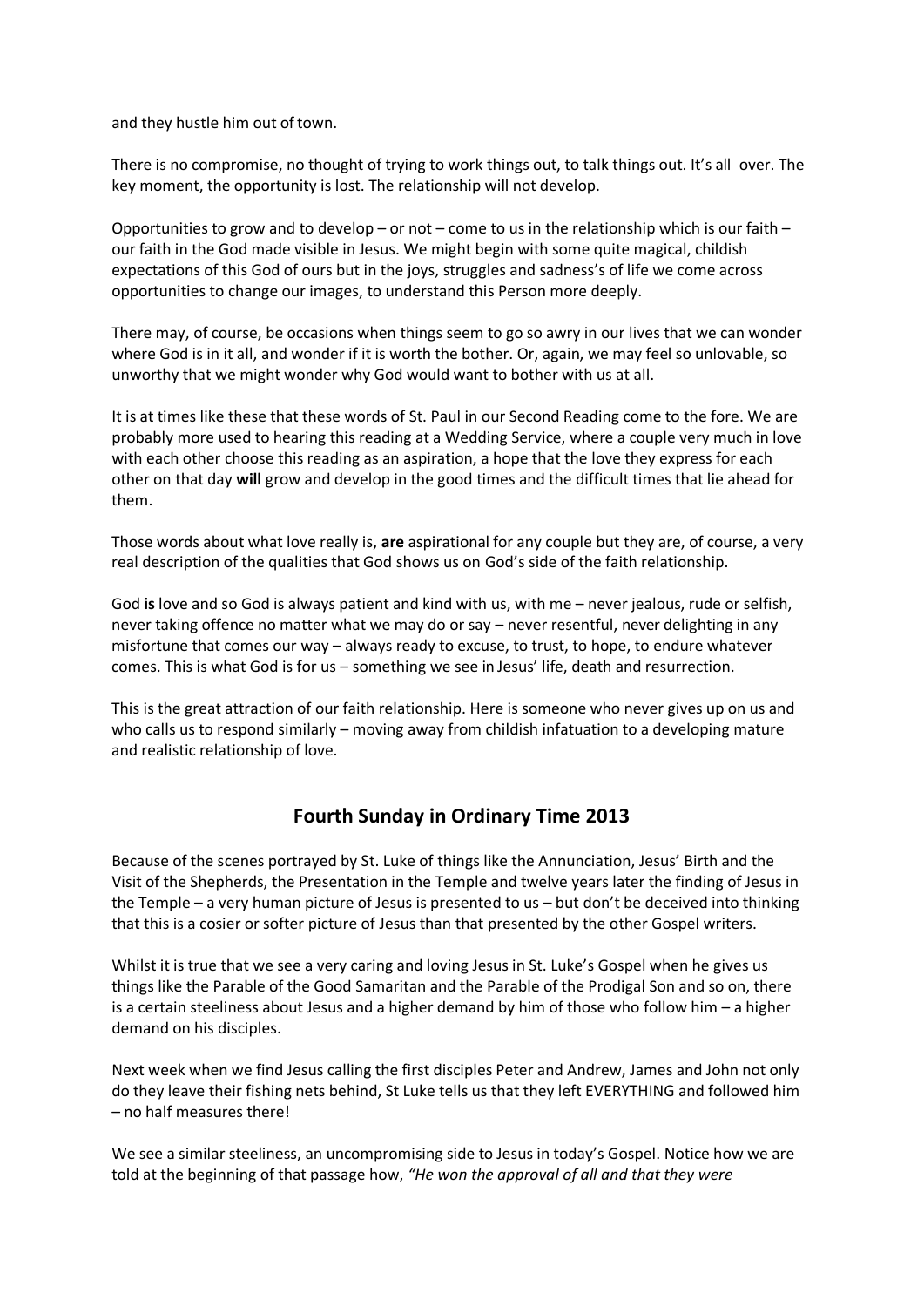and they hustle him out of town.

There is no compromise, no thought of trying to work things out, to talk things out. It's all over. The key moment, the opportunity is lost. The relationship will not develop.

Opportunities to grow and to develop – or not – come to us in the relationship which is our faith – our faith in the God made visible in Jesus. We might begin with some quite magical, childish expectations of this God of ours but in the joys, struggles and sadness's of life we come across opportunities to change our images, to understand this Person more deeply.

There may, of course, be occasions when things seem to go so awry in our lives that we can wonder where God is in it all, and wonder if it is worth the bother. Or, again, we may feel so unlovable, so unworthy that we might wonder why God would want to bother with us at all.

It is at times like these that these words of St. Paul in our Second Reading come to the fore. We are probably more used to hearing this reading at a Wedding Service, where a couple very much in love with each other choose this reading as an aspiration, a hope that the love they express for each other on that day **will** grow and develop in the good times and the difficult times that lie ahead for them.

Those words about what love really is, **are** aspirational for any couple but they are, of course, a very real description of the qualities that God shows us on God's side of the faith relationship.

God **is** love and so God is always patient and kind with us, with me – never jealous, rude or selfish, never taking offence no matter what we may do or say – never resentful, never delighting in any misfortune that comes our way – always ready to excuse, to trust, to hope, to endure whatever comes. This is what God is for us – something we see in Jesus' life, death and resurrection.

This is the great attraction of our faith relationship. Here is someone who never gives up on us and who calls us to respond similarly – moving away from childish infatuation to a developing mature and realistic relationship of love.

# **Fourth Sunday in Ordinary Time 2013**

Because of the scenes portrayed by St. Luke of things like the Annunciation, Jesus' Birth and the Visit of the Shepherds, the Presentation in the Temple and twelve years later the finding of Jesus in the Temple – a very human picture of Jesus is presented to us – but don't be deceived into thinking that this is a cosier or softer picture of Jesus than that presented by the other Gospel writers.

Whilst it is true that we see a very caring and loving Jesus in St. Luke's Gospel when he gives us things like the Parable of the Good Samaritan and the Parable of the Prodigal Son and so on, there is a certain steeliness about Jesus and a higher demand by him of those who follow him – a higher demand on his disciples.

Next week when we find Jesus calling the first disciples Peter and Andrew, James and John not only do they leave their fishing nets behind, St Luke tells us that they left EVERYTHING and followed him – no half measures there!

We see a similar steeliness, an uncompromising side to Jesus in today's Gospel. Notice how we are told at the beginning of that passage how, *"He won the approval of all and that they were*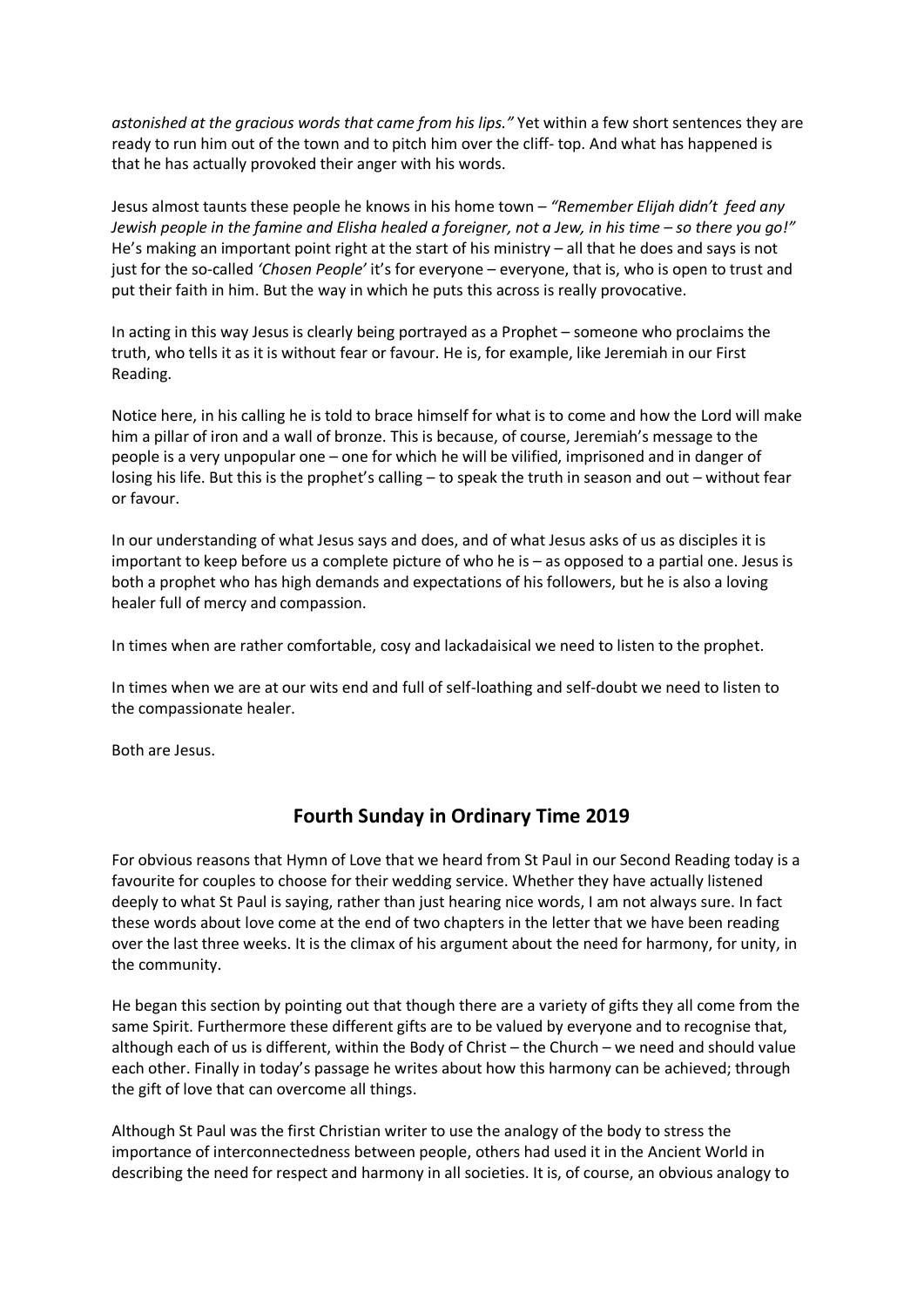*astonished at the gracious words that came from his lips."* Yet within a few short sentences they are ready to run him out of the town and to pitch him over the cliff- top. And what has happened is that he has actually provoked their anger with his words.

Jesus almost taunts these people he knows in his home town – *"Remember Elijah didn't feed any Jewish people in the famine and Elisha healed a foreigner, not a Jew, in his time – so there you go!"*  He's making an important point right at the start of his ministry – all that he does and says is not just for the so-called *'Chosen People'* it's for everyone – everyone, that is, who is open to trust and put their faith in him. But the way in which he puts this across is really provocative.

In acting in this way Jesus is clearly being portrayed as a Prophet – someone who proclaims the truth, who tells it as it is without fear or favour. He is, for example, like Jeremiah in our First Reading.

Notice here, in his calling he is told to brace himself for what is to come and how the Lord will make him a pillar of iron and a wall of bronze. This is because, of course, Jeremiah's message to the people is a very unpopular one – one for which he will be vilified, imprisoned and in danger of losing his life. But this is the prophet's calling – to speak the truth in season and out – without fear or favour.

In our understanding of what Jesus says and does, and of what Jesus asks of us as disciples it is important to keep before us a complete picture of who he is – as opposed to a partial one. Jesus is both a prophet who has high demands and expectations of his followers, but he is also a loving healer full of mercy and compassion.

In times when are rather comfortable, cosy and lackadaisical we need to listen to the prophet.

In times when we are at our wits end and full of self-loathing and self-doubt we need to listen to the compassionate healer.

Both are Jesus.

# **Fourth Sunday in Ordinary Time 2019**

For obvious reasons that Hymn of Love that we heard from St Paul in our Second Reading today is a favourite for couples to choose for their wedding service. Whether they have actually listened deeply to what St Paul is saying, rather than just hearing nice words, I am not always sure. In fact these words about love come at the end of two chapters in the letter that we have been reading over the last three weeks. It is the climax of his argument about the need for harmony, for unity, in the community.

He began this section by pointing out that though there are a variety of gifts they all come from the same Spirit. Furthermore these different gifts are to be valued by everyone and to recognise that, although each of us is different, within the Body of Christ – the Church – we need and should value each other. Finally in today's passage he writes about how this harmony can be achieved; through the gift of love that can overcome all things.

Although St Paul was the first Christian writer to use the analogy of the body to stress the importance of interconnectedness between people, others had used it in the Ancient World in describing the need for respect and harmony in all societies. It is, of course, an obvious analogy to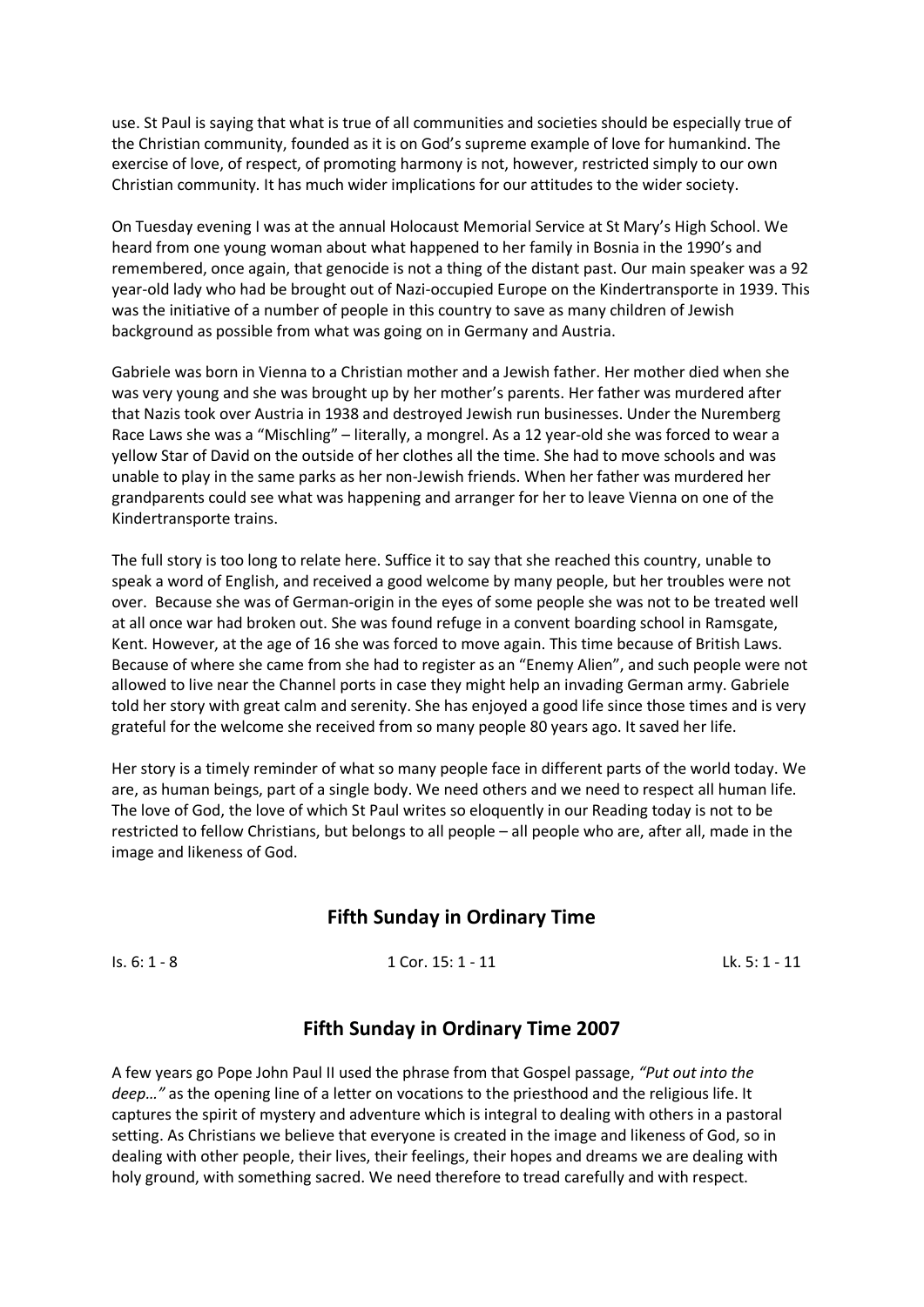use. St Paul is saying that what is true of all communities and societies should be especially true of the Christian community, founded as it is on God's supreme example of love for humankind. The exercise of love, of respect, of promoting harmony is not, however, restricted simply to our own Christian community. It has much wider implications for our attitudes to the wider society.

On Tuesday evening I was at the annual Holocaust Memorial Service at St Mary's High School. We heard from one young woman about what happened to her family in Bosnia in the 1990's and remembered, once again, that genocide is not a thing of the distant past. Our main speaker was a 92 year-old lady who had be brought out of Nazi-occupied Europe on the Kindertransporte in 1939. This was the initiative of a number of people in this country to save as many children of Jewish background as possible from what was going on in Germany and Austria.

Gabriele was born in Vienna to a Christian mother and a Jewish father. Her mother died when she was very young and she was brought up by her mother's parents. Her father was murdered after that Nazis took over Austria in 1938 and destroyed Jewish run businesses. Under the Nuremberg Race Laws she was a "Mischling" – literally, a mongrel. As a 12 year-old she was forced to wear a yellow Star of David on the outside of her clothes all the time. She had to move schools and was unable to play in the same parks as her non-Jewish friends. When her father was murdered her grandparents could see what was happening and arranger for her to leave Vienna on one of the Kindertransporte trains.

The full story is too long to relate here. Suffice it to say that she reached this country, unable to speak a word of English, and received a good welcome by many people, but her troubles were not over. Because she was of German-origin in the eyes of some people she was not to be treated well at all once war had broken out. She was found refuge in a convent boarding school in Ramsgate, Kent. However, at the age of 16 she was forced to move again. This time because of British Laws. Because of where she came from she had to register as an "Enemy Alien", and such people were not allowed to live near the Channel ports in case they might help an invading German army. Gabriele told her story with great calm and serenity. She has enjoyed a good life since those times and is very grateful for the welcome she received from so many people 80 years ago. It saved her life.

Her story is a timely reminder of what so many people face in different parts of the world today. We are, as human beings, part of a single body. We need others and we need to respect all human life. The love of God, the love of which St Paul writes so eloquently in our Reading today is not to be restricted to fellow Christians, but belongs to all people – all people who are, after all, made in the image and likeness of God.

### **Fifth Sunday in Ordinary Time**

Is. 6: 1 - 8 1 Cor. 15: 1 - 11 Lk. 5: 1 - 11

### **Fifth Sunday in Ordinary Time 2007**

A few years go Pope John Paul II used the phrase from that Gospel passage, *"Put out into the deep…"* as the opening line of a letter on vocations to the priesthood and the religious life. It captures the spirit of mystery and adventure which is integral to dealing with others in a pastoral setting. As Christians we believe that everyone is created in the image and likeness of God, so in dealing with other people, their lives, their feelings, their hopes and dreams we are dealing with holy ground, with something sacred. We need therefore to tread carefully and with respect.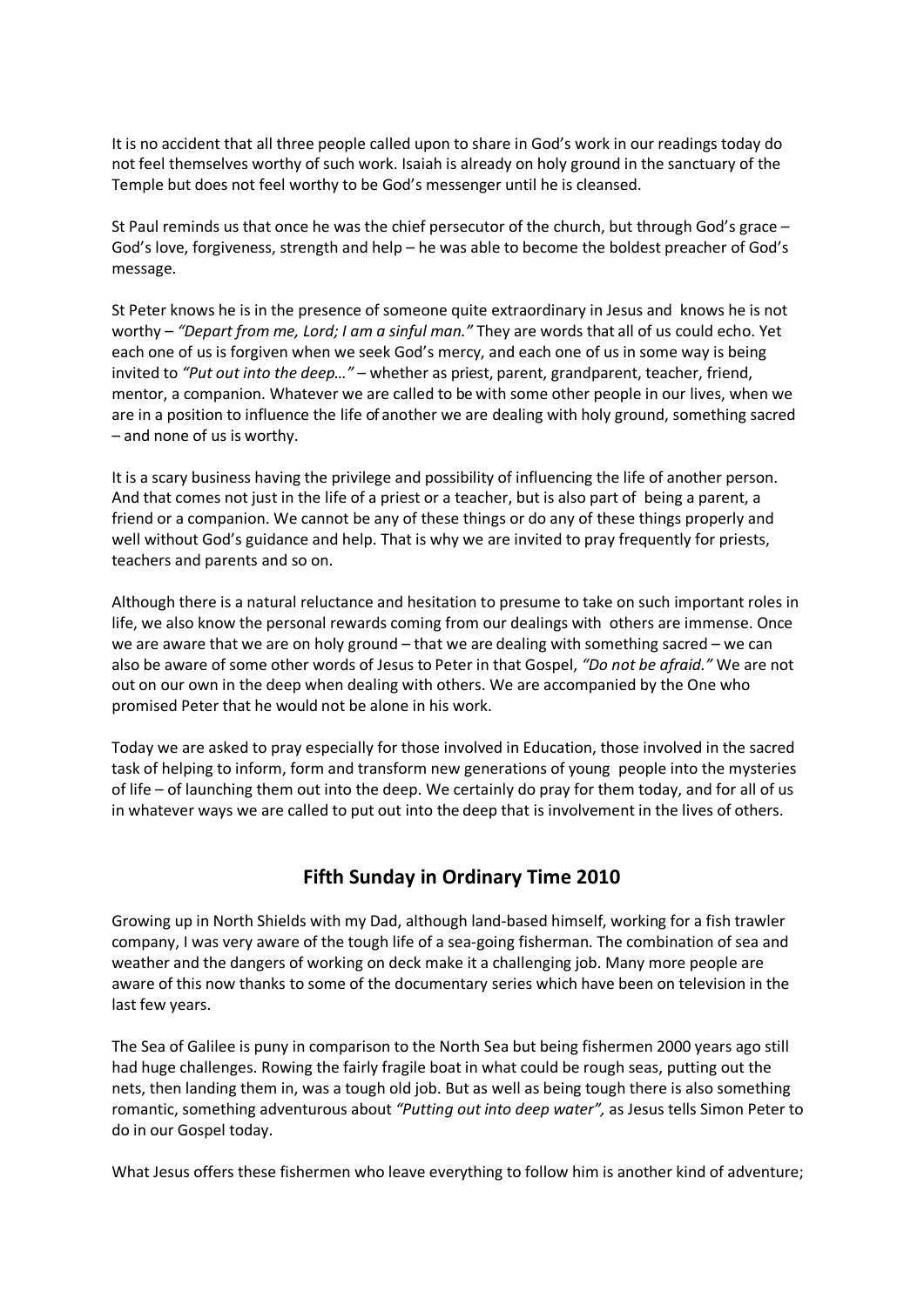It is no accident that all three people called upon to share in God's work in our readings today do not feel themselves worthy of such work. Isaiah is already on holy ground in the sanctuary of the Temple but does not feel worthy to be God's messenger until he is cleansed.

St Paul reminds us that once he was the chief persecutor of the church, but through God's grace – God's love, forgiveness, strength and help – he was able to become the boldest preacher of God's message.

St Peter knows he is in the presence of someone quite extraordinary in Jesus and knows he is not worthy – *"Depart from me, Lord; I am a sinful man."* They are words that all of us could echo. Yet each one of us is forgiven when we seek God's mercy, and each one of us in some way is being invited to *"Put out into the deep…"* – whether as priest, parent, grandparent, teacher, friend, mentor, a companion. Whatever we are called to be with some other people in our lives, when we are in a position to influence the life of another we are dealing with holy ground, something sacred – and none of us is worthy.

It is a scary business having the privilege and possibility of influencing the life of another person. And that comes not just in the life of a priest or a teacher, but is also part of being a parent, a friend or a companion. We cannot be any of these things or do any of these things properly and well without God's guidance and help. That is why we are invited to pray frequently for priests, teachers and parents and so on.

Although there is a natural reluctance and hesitation to presume to take on such important roles in life, we also know the personal rewards coming from our dealings with others are immense. Once we are aware that we are on holy ground – that we are dealing with something sacred – we can also be aware of some other words of Jesus to Peter in that Gospel, *"Do not be afraid."* We are not out on our own in the deep when dealing with others. We are accompanied by the One who promised Peter that he would not be alone in his work.

Today we are asked to pray especially for those involved in Education, those involved in the sacred task of helping to inform, form and transform new generations of young people into the mysteries of life – of launching them out into the deep. We certainly do pray for them today, and for all of us in whatever ways we are called to put out into the deep that is involvement in the lives of others.

# **Fifth Sunday in Ordinary Time 2010**

Growing up in North Shields with my Dad, although land-based himself, working for a fish trawler company, I was very aware of the tough life of a sea-going fisherman. The combination of sea and weather and the dangers of working on deck make it a challenging job. Many more people are aware of this now thanks to some of the documentary series which have been on television in the last few years.

The Sea of Galilee is puny in comparison to the North Sea but being fishermen 2000 years ago still had huge challenges. Rowing the fairly fragile boat in what could be rough seas, putting out the nets, then landing them in, was a tough old job. But as well as being tough there is also something romantic, something adventurous about *"Putting out into deep water",* as Jesus tells Simon Peter to do in our Gospel today.

What Jesus offers these fishermen who leave everything to follow him is another kind of adventure;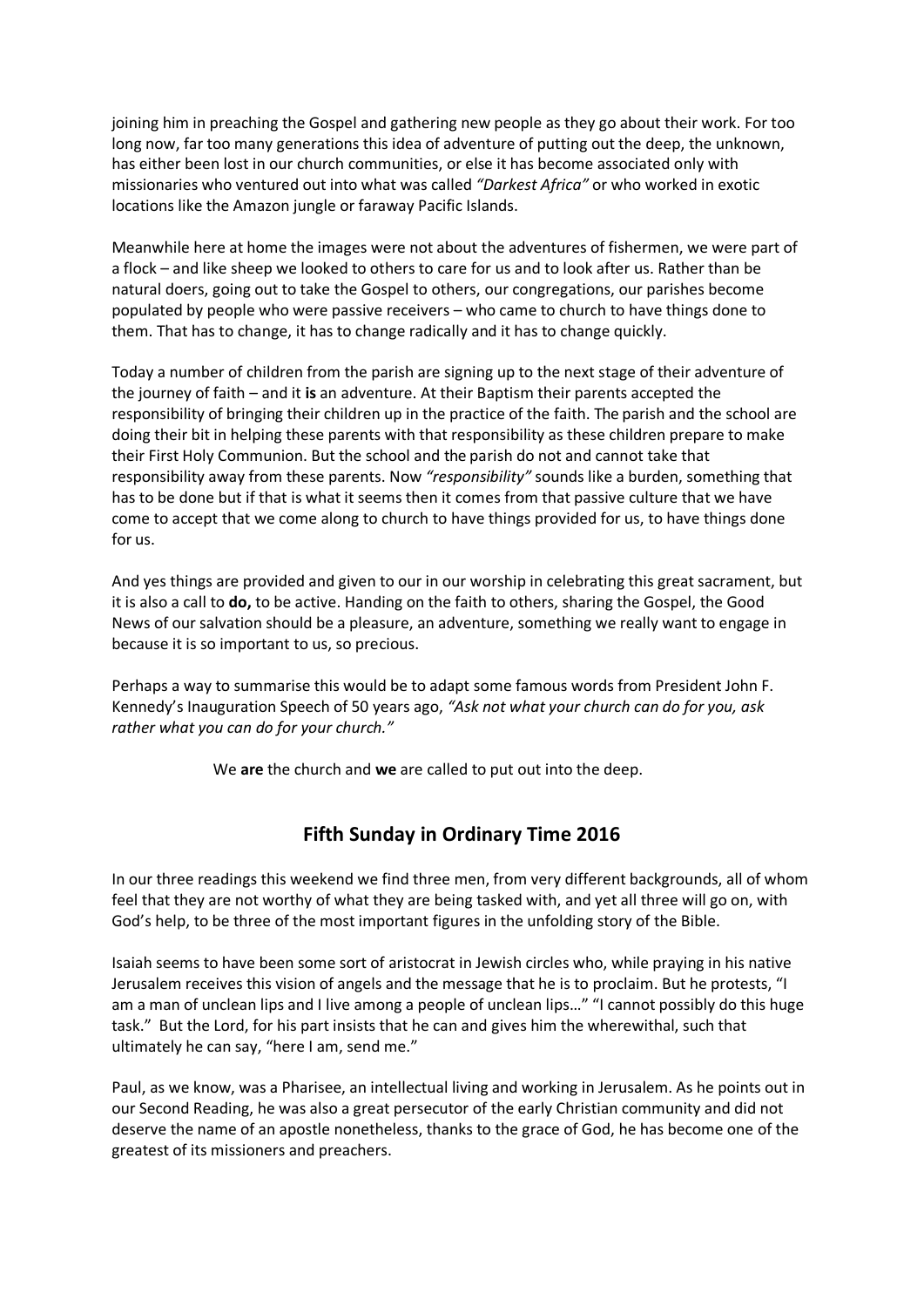joining him in preaching the Gospel and gathering new people as they go about their work. For too long now, far too many generations this idea of adventure of putting out the deep, the unknown, has either been lost in our church communities, or else it has become associated only with missionaries who ventured out into what was called *"Darkest Africa"* or who worked in exotic locations like the Amazon jungle or faraway Pacific Islands.

Meanwhile here at home the images were not about the adventures of fishermen, we were part of a flock – and like sheep we looked to others to care for us and to look after us. Rather than be natural doers, going out to take the Gospel to others, our congregations, our parishes become populated by people who were passive receivers – who came to church to have things done to them. That has to change, it has to change radically and it has to change quickly.

Today a number of children from the parish are signing up to the next stage of their adventure of the journey of faith – and it **is** an adventure. At their Baptism their parents accepted the responsibility of bringing their children up in the practice of the faith. The parish and the school are doing their bit in helping these parents with that responsibility as these children prepare to make their First Holy Communion. But the school and the parish do not and cannot take that responsibility away from these parents. Now *"responsibility"* sounds like a burden, something that has to be done but if that is what it seems then it comes from that passive culture that we have come to accept that we come along to church to have things provided for us, to have things done for us.

And yes things are provided and given to our in our worship in celebrating this great sacrament, but it is also a call to **do,** to be active. Handing on the faith to others, sharing the Gospel, the Good News of our salvation should be a pleasure, an adventure, something we really want to engage in because it is so important to us, so precious.

Perhaps a way to summarise this would be to adapt some famous words from President John F. Kennedy's Inauguration Speech of 50 years ago, *"Ask not what your church can do for you, ask rather what you can do for your church."*

We **are** the church and **we** are called to put out into the deep.

# **Fifth Sunday in Ordinary Time 2016**

In our three readings this weekend we find three men, from very different backgrounds, all of whom feel that they are not worthy of what they are being tasked with, and yet all three will go on, with God's help, to be three of the most important figures in the unfolding story of the Bible.

Isaiah seems to have been some sort of aristocrat in Jewish circles who, while praying in his native Jerusalem receives this vision of angels and the message that he is to proclaim. But he protests, "I am a man of unclean lips and I live among a people of unclean lips..." "I cannot possibly do this huge task." But the Lord, for his part insists that he can and gives him the wherewithal, such that ultimately he can say, "here I am, send me."

Paul, as we know, was a Pharisee, an intellectual living and working in Jerusalem. As he points out in our Second Reading, he was also a great persecutor of the early Christian community and did not deserve the name of an apostle nonetheless, thanks to the grace of God, he has become one of the greatest of its missioners and preachers.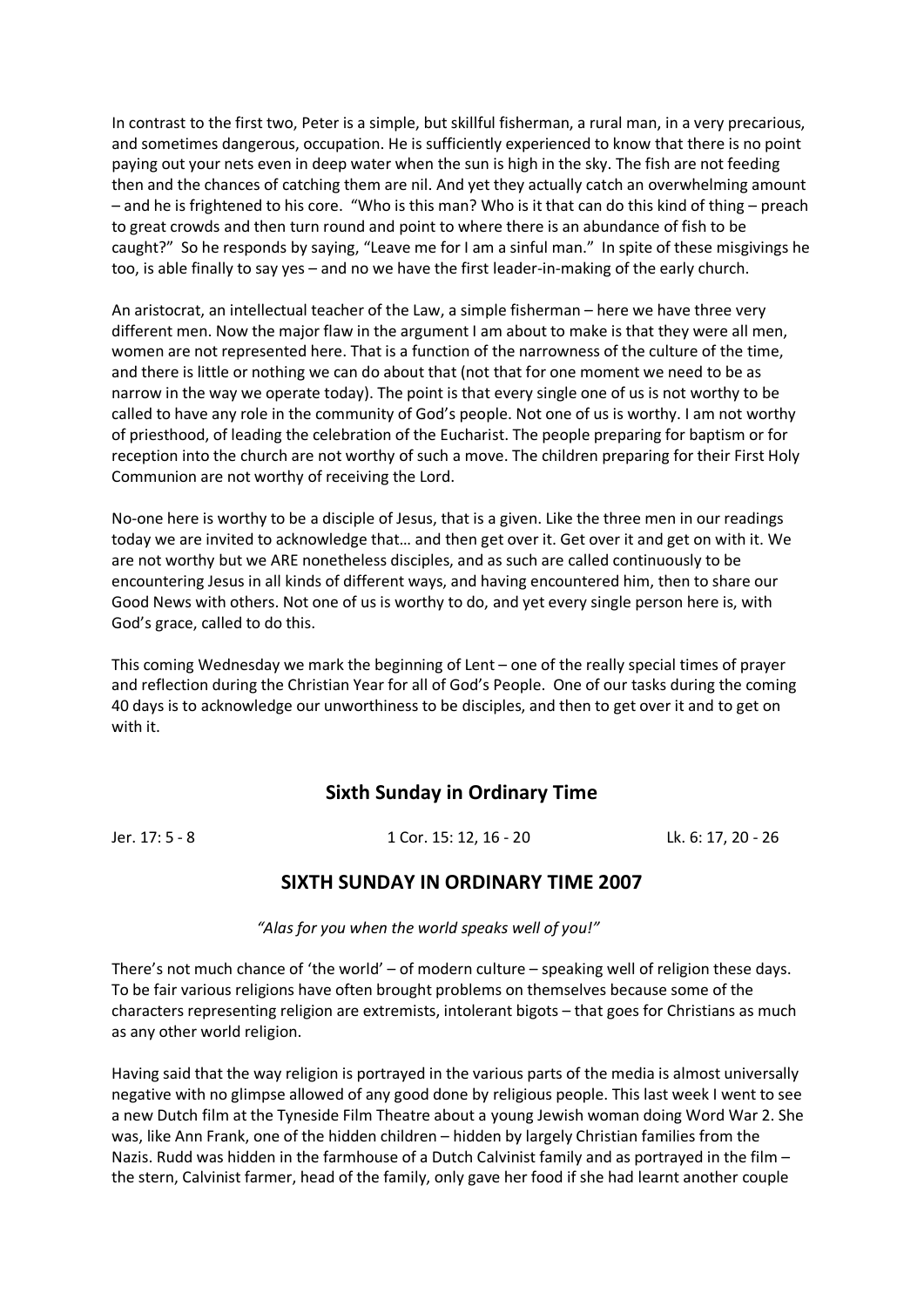In contrast to the first two, Peter is a simple, but skillful fisherman, a rural man, in a very precarious, and sometimes dangerous, occupation. He is sufficiently experienced to know that there is no point paying out your nets even in deep water when the sun is high in the sky. The fish are not feeding then and the chances of catching them are nil. And yet they actually catch an overwhelming amount – and he is frightened to his core. "Who is this man? Who is it that can do this kind of thing – preach to great crowds and then turn round and point to where there is an abundance of fish to be caught?" So he responds by saying, "Leave me for I am a sinful man." In spite of these misgivings he too, is able finally to say yes – and no we have the first leader-in-making of the early church.

An aristocrat, an intellectual teacher of the Law, a simple fisherman – here we have three very different men. Now the major flaw in the argument I am about to make is that they were all men, women are not represented here. That is a function of the narrowness of the culture of the time, and there is little or nothing we can do about that (not that for one moment we need to be as narrow in the way we operate today). The point is that every single one of us is not worthy to be called to have any role in the community of God's people. Not one of us is worthy. I am not worthy of priesthood, of leading the celebration of the Eucharist. The people preparing for baptism or for reception into the church are not worthy of such a move. The children preparing for their First Holy Communion are not worthy of receiving the Lord.

No-one here is worthy to be a disciple of Jesus, that is a given. Like the three men in our readings today we are invited to acknowledge that… and then get over it. Get over it and get on with it. We are not worthy but we ARE nonetheless disciples, and as such are called continuously to be encountering Jesus in all kinds of different ways, and having encountered him, then to share our Good News with others. Not one of us is worthy to do, and yet every single person here is, with God's grace, called to do this.

This coming Wednesday we mark the beginning of Lent – one of the really special times of prayer and reflection during the Christian Year for all of God's People. One of our tasks during the coming 40 days is to acknowledge our unworthiness to be disciples, and then to get over it and to get on with it.

### **Sixth Sunday in Ordinary Time**

Jer. 17: 5 - 8 1 Cor. 15: 12, 16 - 20 Lk. 6: 17, 20 - 26

### **SIXTH SUNDAY IN ORDINARY TIME 2007**

*"Alas for you when the world speaks well of you!"*

There's not much chance of 'the world' – of modern culture – speaking well of religion these days. To be fair various religions have often brought problems on themselves because some of the characters representing religion are extremists, intolerant bigots – that goes for Christians as much as any other world religion.

Having said that the way religion is portrayed in the various parts of the media is almost universally negative with no glimpse allowed of any good done by religious people. This last week I went to see a new Dutch film at the Tyneside Film Theatre about a young Jewish woman doing Word War 2. She was, like Ann Frank, one of the hidden children – hidden by largely Christian families from the Nazis. Rudd was hidden in the farmhouse of a Dutch Calvinist family and as portrayed in the film – the stern, Calvinist farmer, head of the family, only gave her food if she had learnt another couple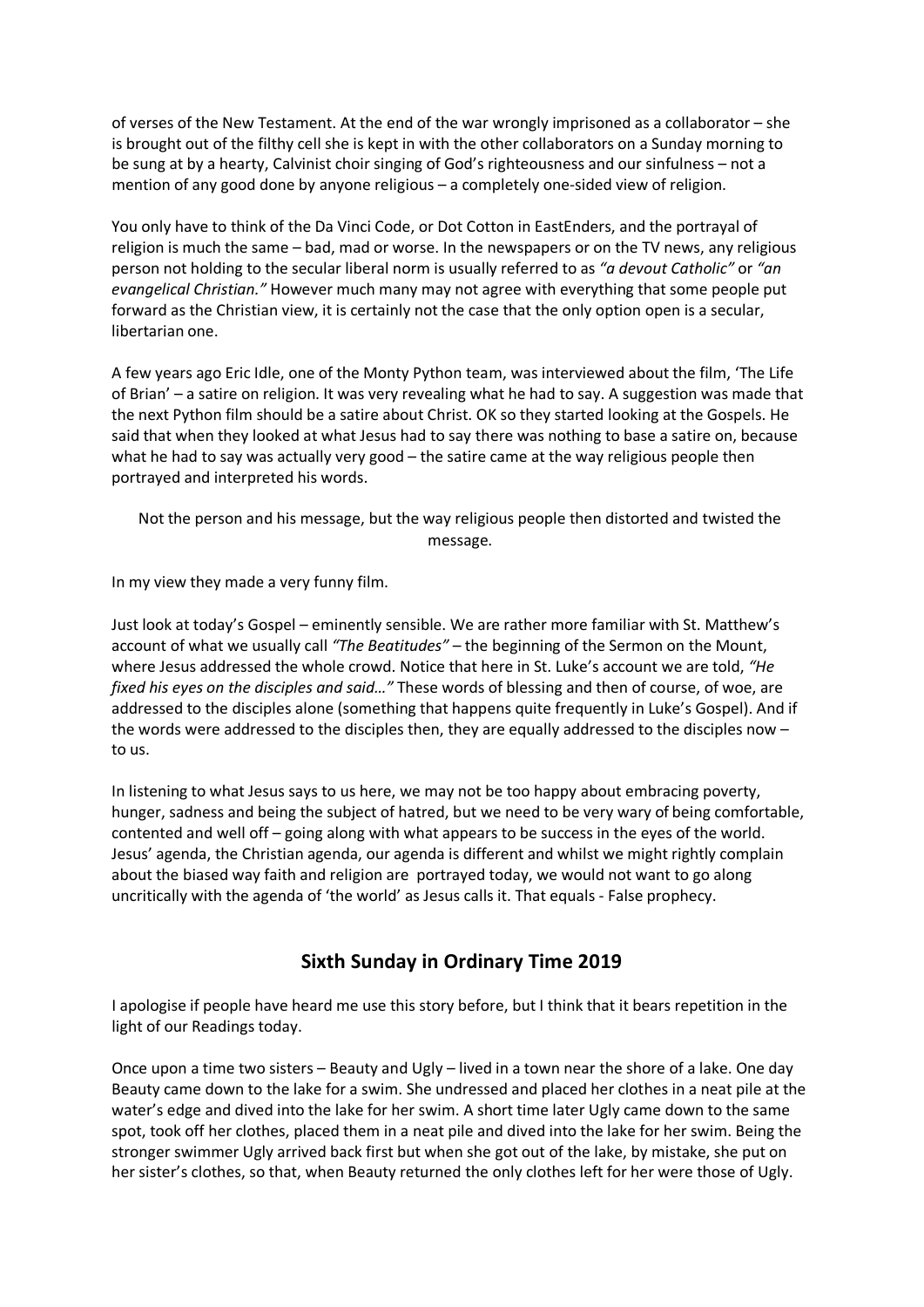of verses of the New Testament. At the end of the war wrongly imprisoned as a collaborator – she is brought out of the filthy cell she is kept in with the other collaborators on a Sunday morning to be sung at by a hearty, Calvinist choir singing of God's righteousness and our sinfulness – not a mention of any good done by anyone religious – a completely one-sided view of religion.

You only have to think of the Da Vinci Code, or Dot Cotton in EastEnders, and the portrayal of religion is much the same – bad, mad or worse. In the newspapers or on the TV news, any religious person not holding to the secular liberal norm is usually referred to as *"a devout Catholic"* or *"an evangelical Christian."* However much many may not agree with everything that some people put forward as the Christian view, it is certainly not the case that the only option open is a secular, libertarian one.

A few years ago Eric Idle, one of the Monty Python team, was interviewed about the film, 'The Life of Brian' – a satire on religion. It was very revealing what he had to say. A suggestion was made that the next Python film should be a satire about Christ. OK so they started looking at the Gospels. He said that when they looked at what Jesus had to say there was nothing to base a satire on, because what he had to say was actually very good – the satire came at the way religious people then portrayed and interpreted his words.

Not the person and his message, but the way religious people then distorted and twisted the message.

In my view they made a very funny film.

Just look at today's Gospel – eminently sensible. We are rather more familiar with St. Matthew's account of what we usually call *"The Beatitudes"* – the beginning of the Sermon on the Mount, where Jesus addressed the whole crowd. Notice that here in St. Luke's account we are told, *"He fixed his eyes on the disciples and said…"* These words of blessing and then of course, of woe, are addressed to the disciples alone (something that happens quite frequently in Luke's Gospel). And if the words were addressed to the disciples then, they are equally addressed to the disciples now – to us.

In listening to what Jesus says to us here, we may not be too happy about embracing poverty, hunger, sadness and being the subject of hatred, but we need to be very wary of being comfortable, contented and well off – going along with what appears to be success in the eyes of the world. Jesus' agenda, the Christian agenda, our agenda is different and whilst we might rightly complain about the biased way faith and religion are portrayed today, we would not want to go along uncritically with the agenda of 'the world' as Jesus calls it. That equals - False prophecy.

# **Sixth Sunday in Ordinary Time 2019**

I apologise if people have heard me use this story before, but I think that it bears repetition in the light of our Readings today.

Once upon a time two sisters – Beauty and Ugly – lived in a town near the shore of a lake. One day Beauty came down to the lake for a swim. She undressed and placed her clothes in a neat pile at the water's edge and dived into the lake for her swim. A short time later Ugly came down to the same spot, took off her clothes, placed them in a neat pile and dived into the lake for her swim. Being the stronger swimmer Ugly arrived back first but when she got out of the lake, by mistake, she put on her sister's clothes, so that, when Beauty returned the only clothes left for her were those of Ugly.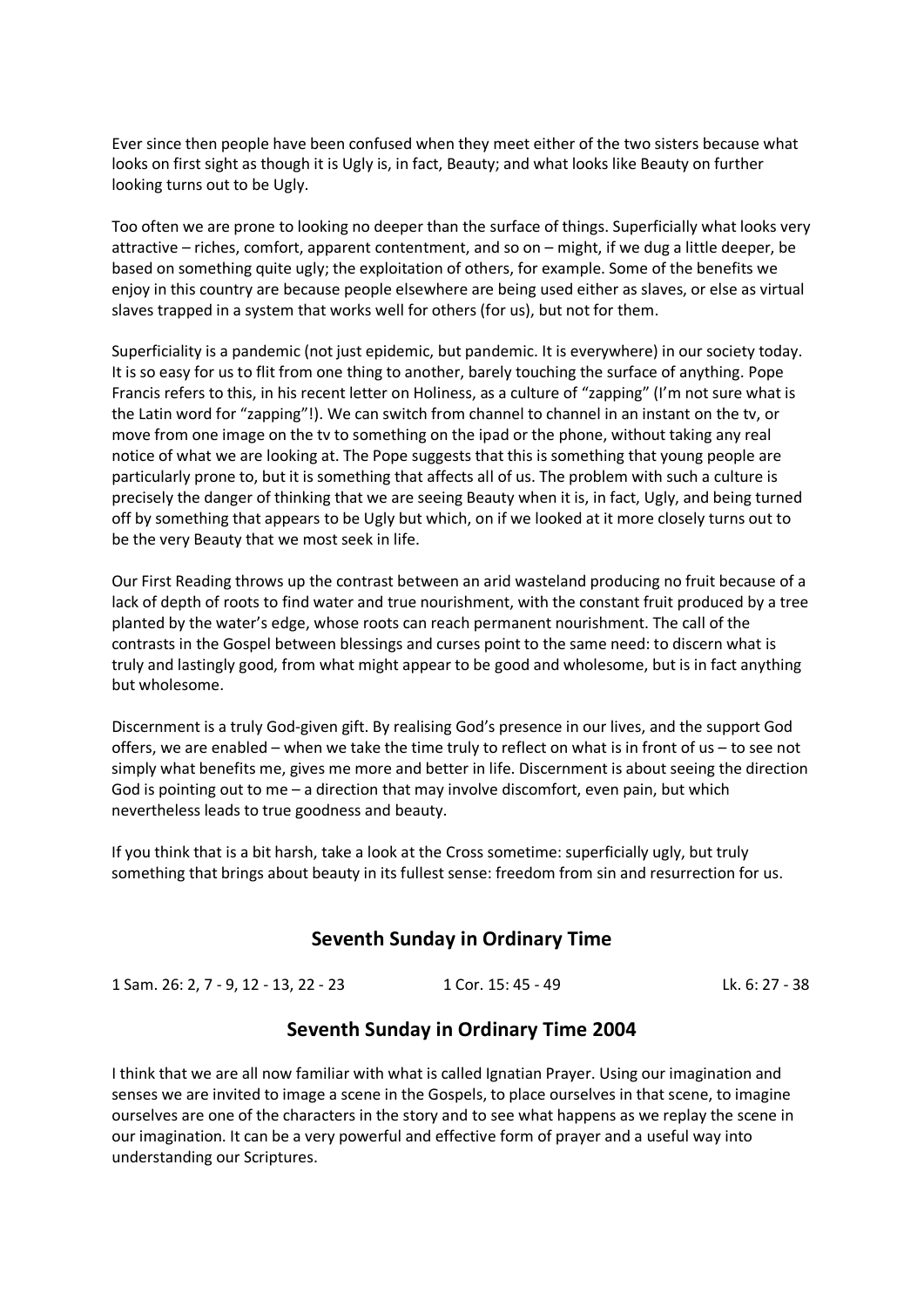Ever since then people have been confused when they meet either of the two sisters because what looks on first sight as though it is Ugly is, in fact, Beauty; and what looks like Beauty on further looking turns out to be Ugly.

Too often we are prone to looking no deeper than the surface of things. Superficially what looks very attractive – riches, comfort, apparent contentment, and so on – might, if we dug a little deeper, be based on something quite ugly; the exploitation of others, for example. Some of the benefits we enjoy in this country are because people elsewhere are being used either as slaves, or else as virtual slaves trapped in a system that works well for others (for us), but not for them.

Superficiality is a pandemic (not just epidemic, but pandemic. It is everywhere) in our society today. It is so easy for us to flit from one thing to another, barely touching the surface of anything. Pope Francis refers to this, in his recent letter on Holiness, as a culture of "zapping" (I'm not sure what is the Latin word for "zapping"!). We can switch from channel to channel in an instant on the tv, or move from one image on the tv to something on the ipad or the phone, without taking any real notice of what we are looking at. The Pope suggests that this is something that young people are particularly prone to, but it is something that affects all of us. The problem with such a culture is precisely the danger of thinking that we are seeing Beauty when it is, in fact, Ugly, and being turned off by something that appears to be Ugly but which, on if we looked at it more closely turns out to be the very Beauty that we most seek in life.

Our First Reading throws up the contrast between an arid wasteland producing no fruit because of a lack of depth of roots to find water and true nourishment, with the constant fruit produced by a tree planted by the water's edge, whose roots can reach permanent nourishment. The call of the contrasts in the Gospel between blessings and curses point to the same need: to discern what is truly and lastingly good, from what might appear to be good and wholesome, but is in fact anything but wholesome.

Discernment is a truly God-given gift. By realising God's presence in our lives, and the support God offers, we are enabled – when we take the time truly to reflect on what is in front of us – to see not simply what benefits me, gives me more and better in life. Discernment is about seeing the direction God is pointing out to me – a direction that may involve discomfort, even pain, but which nevertheless leads to true goodness and beauty.

If you think that is a bit harsh, take a look at the Cross sometime: superficially ugly, but truly something that brings about beauty in its fullest sense: freedom from sin and resurrection for us.

# **Seventh Sunday in Ordinary Time**

1 Sam. 26: 2, 7 - 9, 12 - 13, 22 - 23 1 Cor. 15: 45 - 49 Lk. 6: 27 - 38

# **Seventh Sunday in Ordinary Time 2004**

I think that we are all now familiar with what is called Ignatian Prayer. Using our imagination and senses we are invited to image a scene in the Gospels, to place ourselves in that scene, to imagine ourselves are one of the characters in the story and to see what happens as we replay the scene in our imagination. It can be a very powerful and effective form of prayer and a useful way into understanding our Scriptures.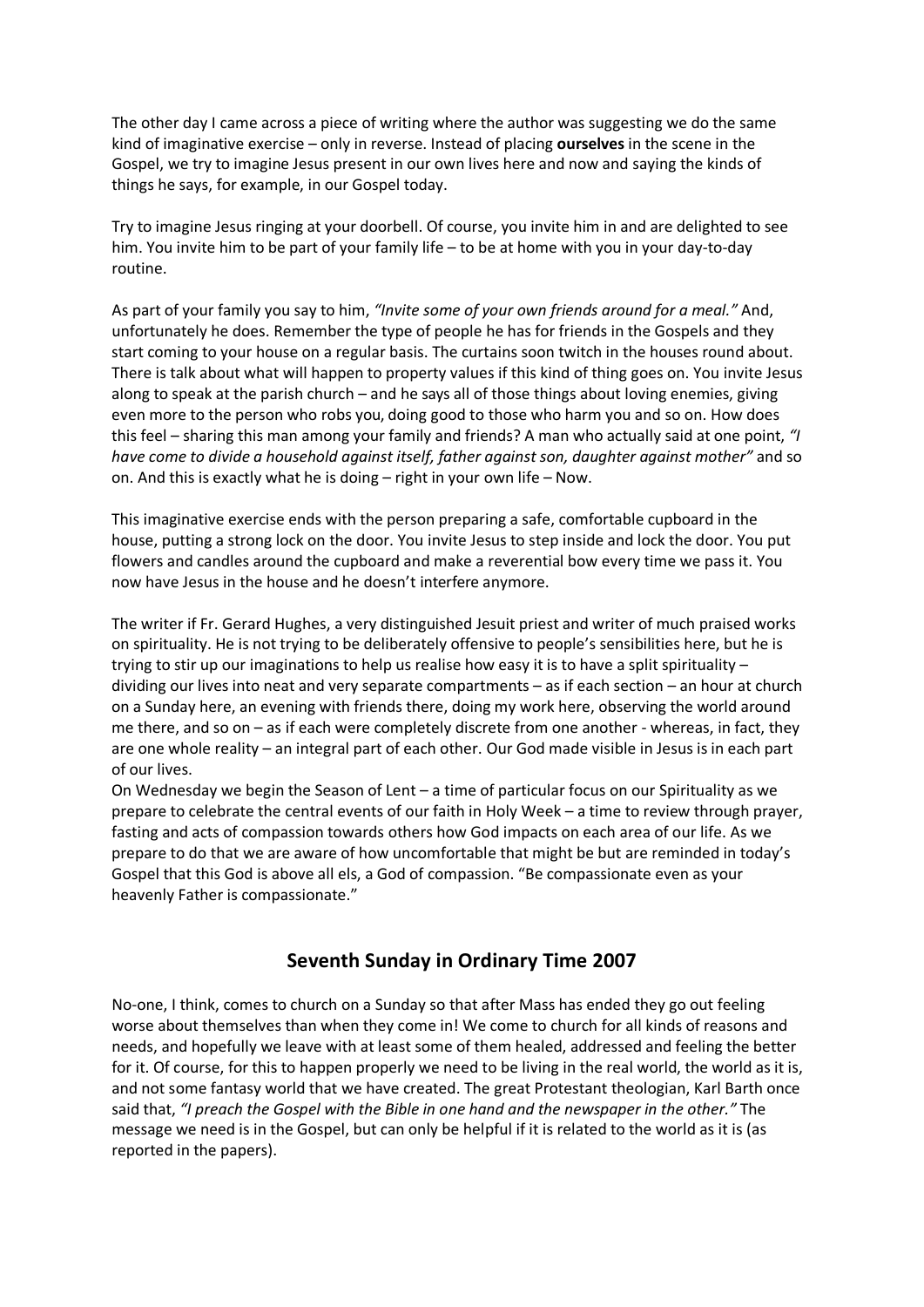The other day I came across a piece of writing where the author was suggesting we do the same kind of imaginative exercise – only in reverse. Instead of placing **ourselves** in the scene in the Gospel, we try to imagine Jesus present in our own lives here and now and saying the kinds of things he says, for example, in our Gospel today.

Try to imagine Jesus ringing at your doorbell. Of course, you invite him in and are delighted to see him. You invite him to be part of your family life – to be at home with you in your day-to-day routine.

As part of your family you say to him, *"Invite some of your own friends around for a meal."* And, unfortunately he does. Remember the type of people he has for friends in the Gospels and they start coming to your house on a regular basis. The curtains soon twitch in the houses round about. There is talk about what will happen to property values if this kind of thing goes on. You invite Jesus along to speak at the parish church – and he says all of those things about loving enemies, giving even more to the person who robs you, doing good to those who harm you and so on. How does this feel – sharing this man among your family and friends? A man who actually said at one point, *"I have come to divide a household against itself, father against son, daughter against mother"* and so on. And this is exactly what he is doing – right in your own life – Now.

This imaginative exercise ends with the person preparing a safe, comfortable cupboard in the house, putting a strong lock on the door. You invite Jesus to step inside and lock the door. You put flowers and candles around the cupboard and make a reverential bow every time we pass it. You now have Jesus in the house and he doesn't interfere anymore.

The writer if Fr. Gerard Hughes, a very distinguished Jesuit priest and writer of much praised works on spirituality. He is not trying to be deliberately offensive to people's sensibilities here, but he is trying to stir up our imaginations to help us realise how easy it is to have a split spirituality – dividing our lives into neat and very separate compartments – as if each section – an hour at church on a Sunday here, an evening with friends there, doing my work here, observing the world around me there, and so on – as if each were completely discrete from one another - whereas, in fact, they are one whole reality – an integral part of each other. Our God made visible in Jesus is in each part of our lives.

On Wednesday we begin the Season of Lent – a time of particular focus on our Spirituality as we prepare to celebrate the central events of our faith in Holy Week – a time to review through prayer, fasting and acts of compassion towards others how God impacts on each area of our life. As we prepare to do that we are aware of how uncomfortable that might be but are reminded in today's Gospel that this God is above all els, a God of compassion. "Be compassionate even as your heavenly Father is compassionate."

# **Seventh Sunday in Ordinary Time 2007**

No-one, I think, comes to church on a Sunday so that after Mass has ended they go out feeling worse about themselves than when they come in! We come to church for all kinds of reasons and needs, and hopefully we leave with at least some of them healed, addressed and feeling the better for it. Of course, for this to happen properly we need to be living in the real world, the world as it is, and not some fantasy world that we have created. The great Protestant theologian, Karl Barth once said that, *"I preach the Gospel with the Bible in one hand and the newspaper in the other."* The message we need is in the Gospel, but can only be helpful if it is related to the world as it is (as reported in the papers).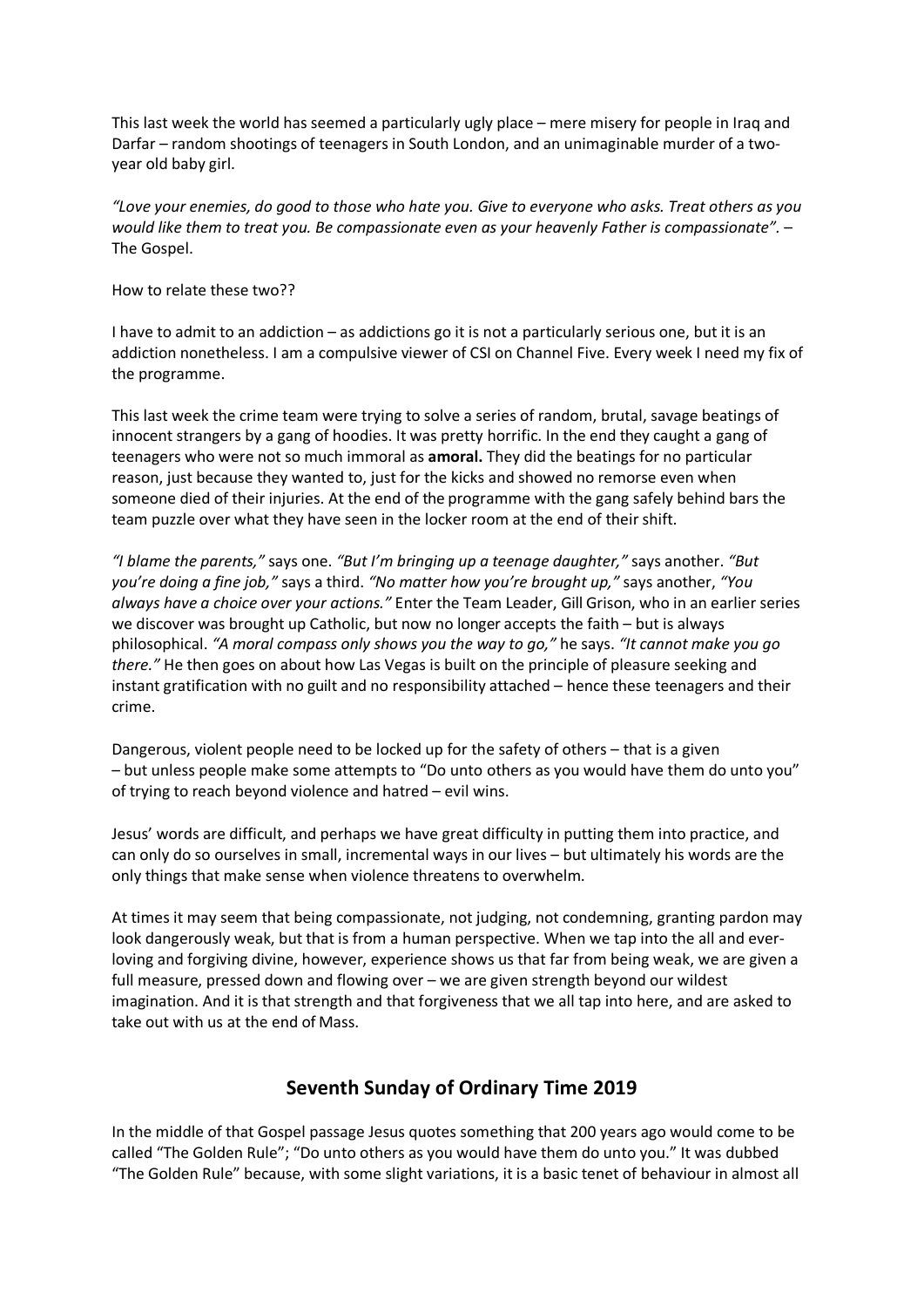This last week the world has seemed a particularly ugly place – mere misery for people in Iraq and Darfar – random shootings of teenagers in South London, and an unimaginable murder of a twoyear old baby girl.

*"Love your enemies, do good to those who hate you. Give to everyone who asks. Treat others as you would like them to treat you. Be compassionate even as your heavenly Father is compassionate".* – The Gospel.

How to relate these two??

I have to admit to an addiction – as addictions go it is not a particularly serious one, but it is an addiction nonetheless. I am a compulsive viewer of CSI on Channel Five. Every week I need my fix of the programme.

This last week the crime team were trying to solve a series of random, brutal, savage beatings of innocent strangers by a gang of hoodies. It was pretty horrific. In the end they caught a gang of teenagers who were not so much immoral as **amoral.** They did the beatings for no particular reason, just because they wanted to, just for the kicks and showed no remorse even when someone died of their injuries. At the end of the programme with the gang safely behind bars the team puzzle over what they have seen in the locker room at the end of their shift.

*"I blame the parents,"* says one. *"But I'm bringing up a teenage daughter,"* says another. *"But you're doing a fine job,"* says a third. *"No matter how you're brought up,"* says another, *"You always have a choice over your actions."* Enter the Team Leader, Gill Grison, who in an earlier series we discover was brought up Catholic, but now no longer accepts the faith – but is always philosophical. *"A moral compass only shows you the way to go,"* he says. *"It cannot make you go there."* He then goes on about how Las Vegas is built on the principle of pleasure seeking and instant gratification with no guilt and no responsibility attached – hence these teenagers and their crime.

Dangerous, violent people need to be locked up for the safety of others – that is a given – but unless people make some attempts to "Do unto others as you would have them do unto you" of trying to reach beyond violence and hatred – evil wins.

Jesus' words are difficult, and perhaps we have great difficulty in putting them into practice, and can only do so ourselves in small, incremental ways in our lives – but ultimately his words are the only things that make sense when violence threatens to overwhelm.

At times it may seem that being compassionate, not judging, not condemning, granting pardon may look dangerously weak, but that is from a human perspective. When we tap into the all and everloving and forgiving divine, however, experience shows us that far from being weak, we are given a full measure, pressed down and flowing over – we are given strength beyond our wildest imagination. And it is that strength and that forgiveness that we all tap into here, and are asked to take out with us at the end of Mass.

# **Seventh Sunday of Ordinary Time 2019**

In the middle of that Gospel passage Jesus quotes something that 200 years ago would come to be called "The Golden Rule"; "Do unto others as you would have them do unto you." It was dubbed "The Golden Rule" because, with some slight variations, it is a basic tenet of behaviour in almost all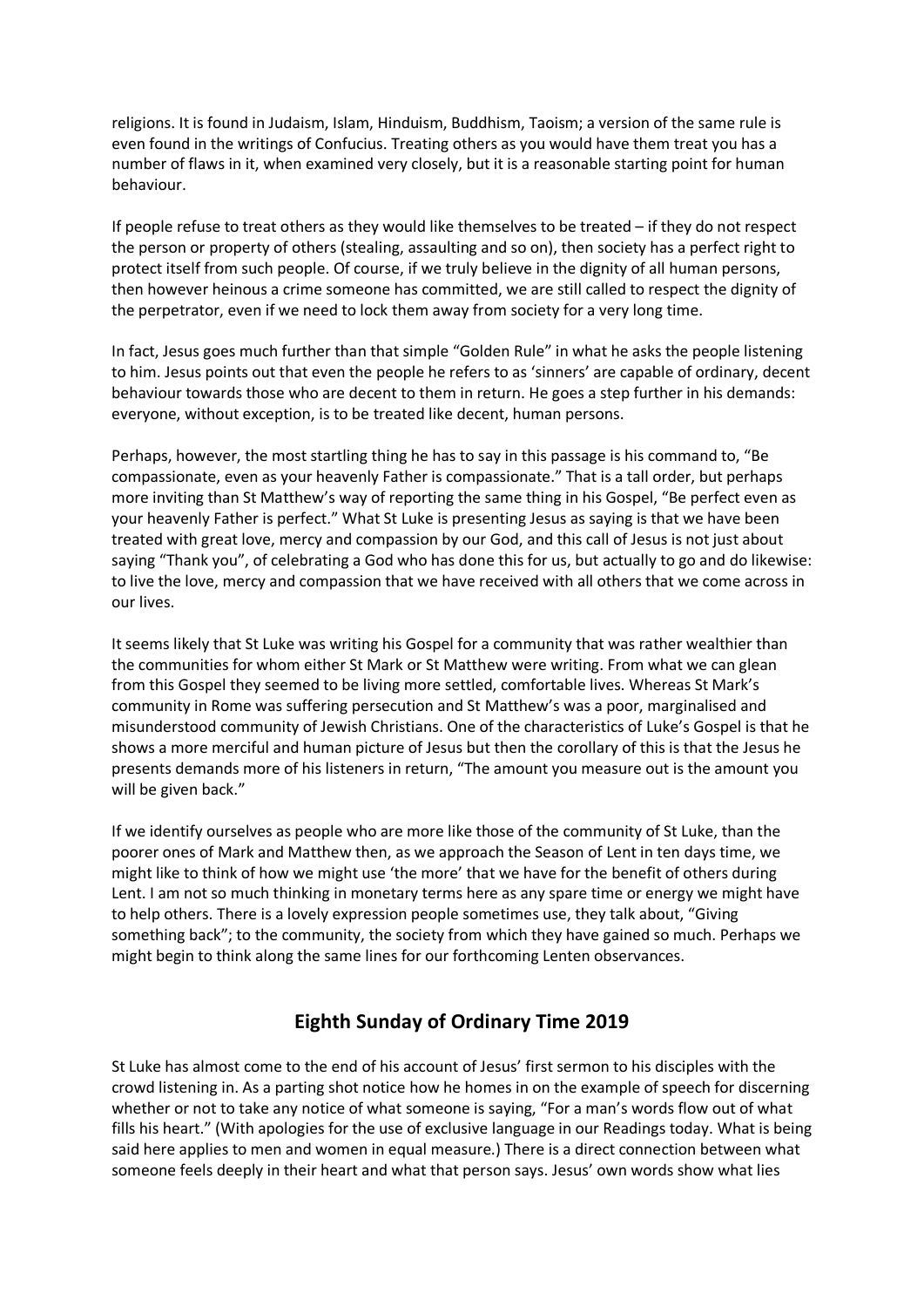religions. It is found in Judaism, Islam, Hinduism, Buddhism, Taoism; a version of the same rule is even found in the writings of Confucius. Treating others as you would have them treat you has a number of flaws in it, when examined very closely, but it is a reasonable starting point for human behaviour.

If people refuse to treat others as they would like themselves to be treated – if they do not respect the person or property of others (stealing, assaulting and so on), then society has a perfect right to protect itself from such people. Of course, if we truly believe in the dignity of all human persons, then however heinous a crime someone has committed, we are still called to respect the dignity of the perpetrator, even if we need to lock them away from society for a very long time.

In fact, Jesus goes much further than that simple "Golden Rule" in what he asks the people listening to him. Jesus points out that even the people he refers to as 'sinners' are capable of ordinary, decent behaviour towards those who are decent to them in return. He goes a step further in his demands: everyone, without exception, is to be treated like decent, human persons.

Perhaps, however, the most startling thing he has to say in this passage is his command to, "Be compassionate, even as your heavenly Father is compassionate." That is a tall order, but perhaps more inviting than St Matthew's way of reporting the same thing in his Gospel, "Be perfect even as your heavenly Father is perfect." What St Luke is presenting Jesus as saying is that we have been treated with great love, mercy and compassion by our God, and this call of Jesus is not just about saying "Thank you", of celebrating a God who has done this for us, but actually to go and do likewise: to live the love, mercy and compassion that we have received with all others that we come across in our lives.

It seems likely that St Luke was writing his Gospel for a community that was rather wealthier than the communities for whom either St Mark or St Matthew were writing. From what we can glean from this Gospel they seemed to be living more settled, comfortable lives. Whereas St Mark's community in Rome was suffering persecution and St Matthew's was a poor, marginalised and misunderstood community of Jewish Christians. One of the characteristics of Luke's Gospel is that he shows a more merciful and human picture of Jesus but then the corollary of this is that the Jesus he presents demands more of his listeners in return, "The amount you measure out is the amount you will be given back."

If we identify ourselves as people who are more like those of the community of St Luke, than the poorer ones of Mark and Matthew then, as we approach the Season of Lent in ten days time, we might like to think of how we might use 'the more' that we have for the benefit of others during Lent. I am not so much thinking in monetary terms here as any spare time or energy we might have to help others. There is a lovely expression people sometimes use, they talk about, "Giving something back"; to the community, the society from which they have gained so much. Perhaps we might begin to think along the same lines for our forthcoming Lenten observances.

# **Eighth Sunday of Ordinary Time 2019**

St Luke has almost come to the end of his account of Jesus' first sermon to his disciples with the crowd listening in. As a parting shot notice how he homes in on the example of speech for discerning whether or not to take any notice of what someone is saying, "For a man's words flow out of what fills his heart." (With apologies for the use of exclusive language in our Readings today. What is being said here applies to men and women in equal measure.) There is a direct connection between what someone feels deeply in their heart and what that person says. Jesus' own words show what lies